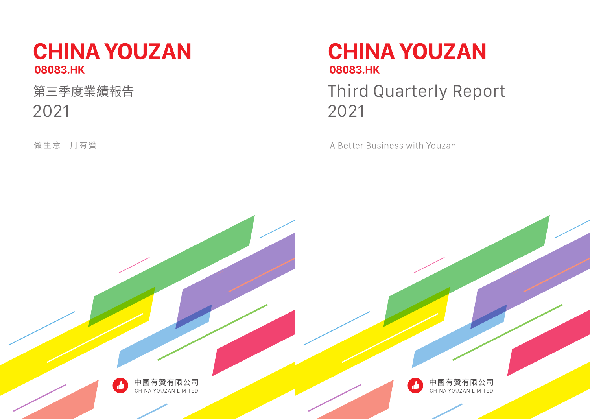# **CHINA YOUZAN** 08083.HK Third Quarterly Report 2021 2021

A Better Business with Youzan

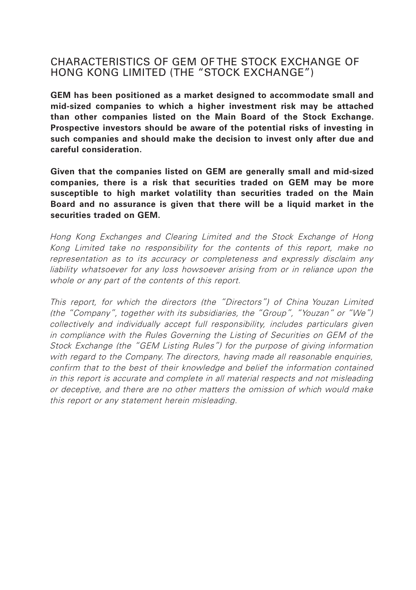## CHARACTERISTICS OF GEM OF THE STOCK EXCHANGE OF HONG KONG LIMITED (THE "STOCK EXCHANGE")

**GEM has been positioned as a market designed to accommodate small and mid-sized companies to which a higher investment risk may be attached than other companies listed on the Main Board of the Stock Exchange. Prospective investors should be aware of the potential risks of investing in such companies and should make the decision to invest only after due and careful consideration.**

**Given that the companies listed on GEM are generally small and mid-sized companies, there is a risk that securities traded on GEM may be more susceptible to high market volatility than securities traded on the Main Board and no assurance is given that there will be a liquid market in the securities traded on GEM.**

Hong Kong Exchanges and Clearing Limited and the Stock Exchange of Hong Kong Limited take no responsibility for the contents of this report, make no representation as to its accuracy or completeness and expressly disclaim any liability whatsoever for any loss howsoever arising from or in reliance upon the whole or any part of the contents of this report.

This report, for which the directors (the "Directors") of China Youzan Limited (the "Company", together with its subsidiaries, the "Group", "Youzan" or "We") collectively and individually accept full responsibility, includes particulars given in compliance with the Rules Governing the Listing of Securities on GEM of the Stock Exchange (the "GEM Listing Rules") for the purpose of giving information with regard to the Company. The directors, having made all reasonable enquiries, confirm that to the best of their knowledge and belief the information contained in this report is accurate and complete in all material respects and not misleading or deceptive, and there are no other matters the omission of which would make this report or any statement herein misleading.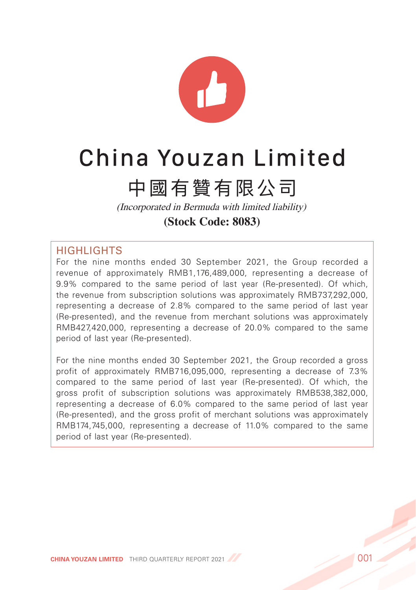

## China Youzan Limited

## 中國有贊有限公司

(Incorporated in Bermuda with limited liability) **(Stock Code: 8083)**

## HIGHLIGHTS

For the nine months ended 30 September 2021, the Group recorded a revenue of approximately RMB1,176,489,000, representing a decrease of 9.9% compared to the same period of last year (Re-presented). Of which, the revenue from subscription solutions was approximately RMB737,292,000, representing a decrease of 2.8% compared to the same period of last year (Re-presented), and the revenue from merchant solutions was approximately RMB427,420,000, representing a decrease of 20.0% compared to the same period of last year (Re-presented).

For the nine months ended 30 September 2021, the Group recorded a gross profit of approximately RMB716,095,000, representing a decrease of 7.3% compared to the same period of last year (Re-presented). Of which, the gross profit of subscription solutions was approximately RMB538,382,000, representing a decrease of 6.0% compared to the same period of last year (Re-presented), and the gross profit of merchant solutions was approximately RMB174,745,000, representing a decrease of 11.0% compared to the same period of last year (Re-presented).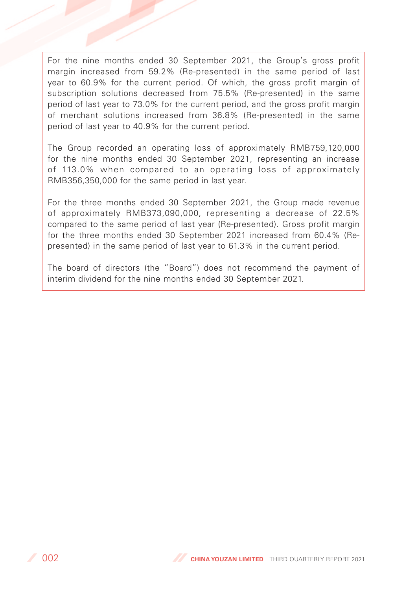For the nine months ended 30 September 2021, the Group's gross profit margin increased from 59.2% (Re-presented) in the same period of last year to 60.9% for the current period. Of which, the gross profit margin of subscription solutions decreased from 75.5% (Re-presented) in the same period of last year to 73.0% for the current period, and the gross profit margin of merchant solutions increased from 36.8% (Re-presented) in the same period of last year to 40.9% for the current period.

The Group recorded an operating loss of approximately RMB759,120,000 for the nine months ended 30 September 2021, representing an increase of 113.0% when compared to an operating loss of approximately RMB356,350,000 for the same period in last year.

For the three months ended 30 September 2021, the Group made revenue of approximately RMB373,090,000, representing a decrease of 22.5% compared to the same period of last year (Re-presented). Gross profit margin for the three months ended 30 September 2021 increased from 60.4% (Represented) in the same period of last year to 61.3% in the current period.

The board of directors (the "Board") does not recommend the payment of interim dividend for the nine months ended 30 September 2021.

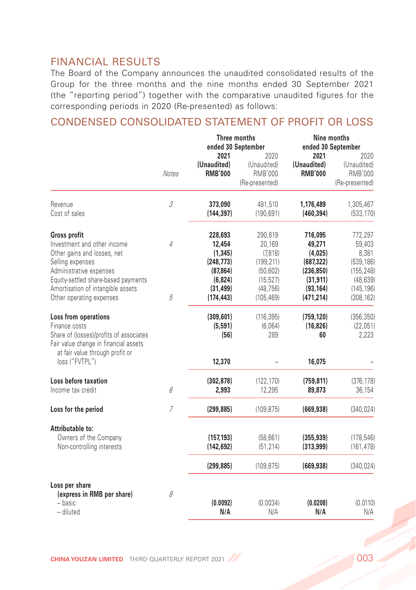## FINANCIAL RESULTS

The Board of the Company announces the unaudited consolidated results of the Group for the three months and the nine months ended 30 September 2021 (the "reporting period") together with the comparative unaudited figures for the corresponding periods in 2020 (Re-presented) as follows:

## CONDENSED CONSOLIDATED STATEMENT OF PROFIT OR LOSS

|                                                                                                                                                                                                                                          |                     |                                                                                                 | Three months<br>ended 30 September                                                              |                                                                                                  | Nine months<br>ended 30 September                                                               |
|------------------------------------------------------------------------------------------------------------------------------------------------------------------------------------------------------------------------------------------|---------------------|-------------------------------------------------------------------------------------------------|-------------------------------------------------------------------------------------------------|--------------------------------------------------------------------------------------------------|-------------------------------------------------------------------------------------------------|
|                                                                                                                                                                                                                                          | <b>Notes</b>        | 2021<br>(Unaudited)<br><b>RMB'000</b>                                                           | 2020<br>(Unaudited)<br><b>RMB'000</b><br>(Re-presented)                                         | 2021<br>(Unaudited)<br><b>RMB'000</b>                                                            | 2020<br>(Unaudited)<br>RMB'000<br>(Re-presented)                                                |
| Revenue<br>Cost of sales                                                                                                                                                                                                                 | 3                   | 373,090<br>(144, 397)                                                                           | 481,510<br>(190, 691)                                                                           | 1,176,489<br>(460, 394)                                                                          | 1,305,467<br>(533, 170)                                                                         |
| <b>Gross profit</b><br>Investment and other income<br>Other gains and losses, net<br>Selling expenses<br>Administrative expenses<br>Equity-settled share-based payments<br>Amortisation of intangible assets<br>Other operating expenses | $\overline{4}$<br>5 | 228,693<br>12,454<br>(1, 345)<br>(248, 773)<br>(87, 864)<br>(6, 824)<br>(31, 499)<br>(174, 443) | 290,819<br>20,169<br>(7,818)<br>(199, 211)<br>(50, 602)<br>(15, 527)<br>(48, 756)<br>(105, 469) | 716,095<br>49,271<br>(4,025)<br>(687, 322)<br>(236, 850)<br>(31, 911)<br>(93, 164)<br>(471, 214) | 772,297<br>59,403<br>8,381<br>(539, 186)<br>(155, 248)<br>(48, 639)<br>(145, 196)<br>(308, 162) |
| Loss from operations<br>Finance costs<br>Share of (losses)/profits of associates<br>Fair value change in financial assets<br>at fair value through profit or<br>loss ("FVTPL")                                                           |                     | (309, 601)<br>(5, 591)<br>(56)<br>12,370                                                        | (116, 395)<br>(6,064)<br>289                                                                    | (759, 120)<br>(16, 826)<br>60<br>16,075                                                          | (356, 350)<br>(22,051)<br>2,223                                                                 |
| Loss before taxation<br>Income tax credit                                                                                                                                                                                                | 6                   | (302, 878)<br>2,993                                                                             | (122, 170)<br>12,295                                                                            | (759, 811)<br>89,873                                                                             | (376, 178)<br>36,154                                                                            |
| Loss for the period                                                                                                                                                                                                                      | $\overline{7}$      | (299, 885)                                                                                      | (109, 875)                                                                                      | (669, 938)                                                                                       | (340, 024)                                                                                      |
| Attributable to:<br>Owners of the Company<br>Non-controlling interests                                                                                                                                                                   |                     | (157, 193)<br>(142, 692)                                                                        | (58, 661)<br>(51, 214)                                                                          | (355, 939)<br>(313,999)                                                                          | (178, 546)<br>(161, 478)                                                                        |
|                                                                                                                                                                                                                                          |                     | (299, 885)                                                                                      | (109, 875)                                                                                      | (669, 938)                                                                                       | (340, 024)                                                                                      |
| Loss per share<br>(express in RMB per share)<br>– basic<br>- diluted                                                                                                                                                                     | 8                   | (0.0092)<br>N/A                                                                                 | (0.0034)<br>N/A                                                                                 | (0.0208)<br>N/A                                                                                  | (0.0110)<br>N/A                                                                                 |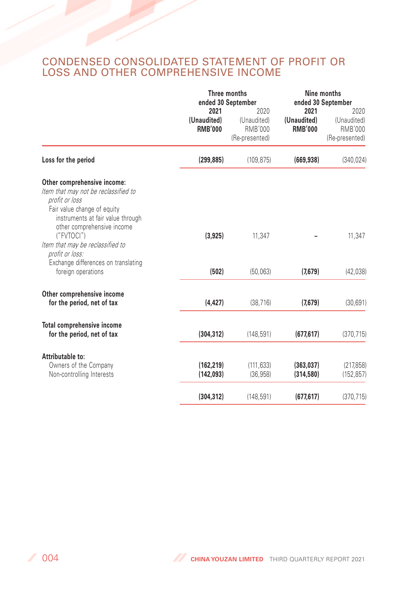## CONDENSED CONSOLIDATED STATEMENT OF PROFIT OR LOSS AND OTHER COMPREHENSIVE INCOME

|                                                                                                                                                                                                                                                                                                     | Three months<br>ended 30 September    |                                                         | Nine months<br>ended 30 September     |                                                         |
|-----------------------------------------------------------------------------------------------------------------------------------------------------------------------------------------------------------------------------------------------------------------------------------------------------|---------------------------------------|---------------------------------------------------------|---------------------------------------|---------------------------------------------------------|
|                                                                                                                                                                                                                                                                                                     | 2021<br>(Unaudited)<br><b>RMB'000</b> | 2020<br>(Unaudited)<br><b>RMB'000</b><br>(Re-presented) | 2021<br>(Unaudited)<br><b>RMB'000</b> | 2020<br>(Unaudited)<br><b>RMB'000</b><br>(Re-presented) |
| Loss for the period                                                                                                                                                                                                                                                                                 | (299, 885)                            | (109, 875)                                              | (669, 938)                            | (340, 024)                                              |
| Other comprehensive income:<br>Item that may not be reclassified to<br>profit or loss<br>Fair value change of equity<br>instruments at fair value through<br>other comprehensive income<br>("FVTOCI")<br>Item that may be reclassified to<br>profit or loss:<br>Exchange differences on translating | (3,925)                               | 11,347                                                  |                                       | 11,347                                                  |
| foreign operations                                                                                                                                                                                                                                                                                  | (502)                                 | (50,063)                                                | (7,679)                               | (42, 038)                                               |
| Other comprehensive income<br>for the period, net of tax                                                                                                                                                                                                                                            | (4, 427)                              | (38, 716)                                               | (7,679)                               | (30, 691)                                               |
| Total comprehensive income<br>for the period, net of tax                                                                                                                                                                                                                                            | (304, 312)                            | (148, 591)                                              | (677, 617)                            | (370, 715)                                              |
| Attributable to:<br>Owners of the Company<br>Non-controlling Interests                                                                                                                                                                                                                              | (162, 219)<br>(142, 093)              | (111, 633)<br>(36,958)                                  | (363, 037)<br>(314,580)               | (217, 858)<br>(152, 857)                                |
|                                                                                                                                                                                                                                                                                                     | (304.312)                             | (148, 591)                                              | (677, 617)                            | (370, 715)                                              |
|                                                                                                                                                                                                                                                                                                     |                                       |                                                         |                                       |                                                         |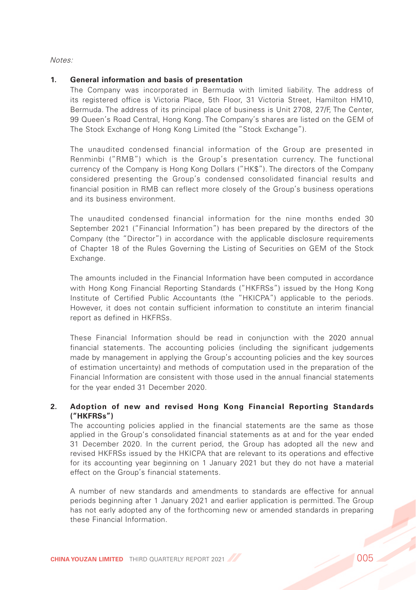Notes:

#### **1. General information and basis of presentation**

The Company was incorporated in Bermuda with limited liability. The address of its registered office is Victoria Place, 5th Floor, 31 Victoria Street, Hamilton HM10, Bermuda. The address of its principal place of business is Unit 2708, 27/F, The Center, 99 Queen's Road Central, Hong Kong. The Company's shares are listed on the GEM of The Stock Exchange of Hong Kong Limited (the "Stock Exchange").

The unaudited condensed financial information of the Group are presented in Renminbi ("RMB") which is the Group's presentation currency. The functional currency of the Company is Hong Kong Dollars ("HK\$"). The directors of the Company considered presenting the Group's condensed consolidated financial results and financial position in RMB can reflect more closely of the Group's business operations and its business environment.

The unaudited condensed financial information for the nine months ended 30 September 2021 ("Financial Information") has been prepared by the directors of the Company (the "Director") in accordance with the applicable disclosure requirements of Chapter 18 of the Rules Governing the Listing of Securities on GEM of the Stock Exchange.

The amounts included in the Financial Information have been computed in accordance with Hong Kong Financial Reporting Standards ("HKFRSs") issued by the Hong Kong Institute of Certified Public Accountants (the "HKICPA") applicable to the periods. However, it does not contain sufficient information to constitute an interim financial report as defined in HKFRSs.

These Financial Information should be read in conjunction with the 2020 annual financial statements. The accounting policies (including the significant judgements made by management in applying the Group's accounting policies and the key sources of estimation uncertainty) and methods of computation used in the preparation of the Financial Information are consistent with those used in the annual financial statements for the year ended 31 December 2020.

#### **2. Adoption of new and revised Hong Kong Financial Reporting Standards ("HKFRSs")**

The accounting policies applied in the financial statements are the same as those applied in the Group's consolidated financial statements as at and for the year ended 31 December 2020. In the current period, the Group has adopted all the new and revised HKFRSs issued by the HKICPA that are relevant to its operations and effective for its accounting year beginning on 1 January 2021 but they do not have a material effect on the Group's financial statements.

A number of new standards and amendments to standards are effective for annual periods beginning after 1 January 2021 and earlier application is permitted. The Group has not early adopted any of the forthcoming new or amended standards in preparing these Financial Information.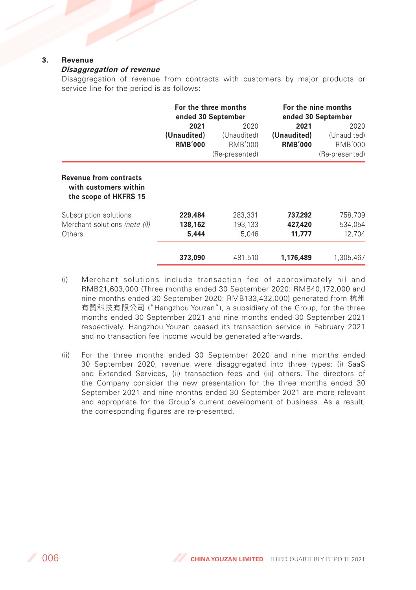#### **3. Revenue**

#### **Disaggregation of revenue**

Disaggregation of revenue from contracts with customers by major products or service line for the period is as follows:

|                                                                                 |                                       | For the three months<br>ended 30 September       |                                       | For the nine months<br>ended 30 September               |
|---------------------------------------------------------------------------------|---------------------------------------|--------------------------------------------------|---------------------------------------|---------------------------------------------------------|
|                                                                                 | 2021<br>(Unaudited)<br><b>RMB'000</b> | 2020<br>(Unaudited)<br>RMB'000<br>(Re-presented) | 2021<br>(Unaudited)<br><b>RMB'000</b> | 2020<br>(Unaudited)<br><b>RMB'000</b><br>(Re-presented) |
| <b>Revenue from contracts</b><br>with customers within<br>the scope of HKFRS 15 |                                       |                                                  |                                       |                                                         |
| Subscription solutions<br>Merchant solutions (note (i))<br>Others               | 229,484<br>138,162<br>5.444           | 283.331<br>193,133<br>5,046                      | 737.292<br>427,420<br>11,777          | 758,709<br>534,054<br>12,704                            |
|                                                                                 | 373,090                               | 481,510                                          | 1,176,489                             | 1,305,467                                               |

- (i) Merchant solutions include transaction fee of approximately nil and RMB21,603,000 (Three months ended 30 September 2020: RMB40,172,000 and nine months ended 30 September 2020: RMB133,432,000) generated from 杭州 有贊科技有限公司 ("Hangzhou Youzan"), a subsidiary of the Group, for the three months ended 30 September 2021 and nine months ended 30 September 2021 respectively. Hangzhou Youzan ceased its transaction service in February 2021 and no transaction fee income would be generated afterwards.
- (ii) For the three months ended 30 September 2020 and nine months ended 30 September 2020, revenue were disaggregated into three types: (i) SaaS and Extended Services, (ii) transaction fees and (iii) others. The directors of the Company consider the new presentation for the three months ended 30 September 2021 and nine months ended 30 September 2021 are more relevant and appropriate for the Group's current development of business. As a result, the corresponding figures are re-presented.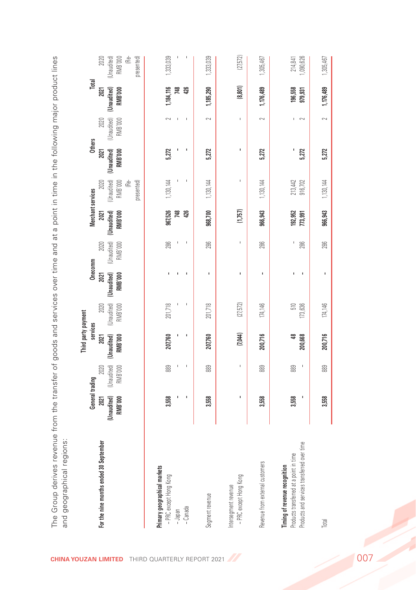|                                                                                                                         | General trading                       |                                                                                                                                                                                                                                                                                                                                                             | Third party payment<br>services       |                                | Onecomm                               |                                       | Merchant services                     |                                                        | <b>Others</b>                        |                                | Total                                 |                                    |
|-------------------------------------------------------------------------------------------------------------------------|---------------------------------------|-------------------------------------------------------------------------------------------------------------------------------------------------------------------------------------------------------------------------------------------------------------------------------------------------------------------------------------------------------------|---------------------------------------|--------------------------------|---------------------------------------|---------------------------------------|---------------------------------------|--------------------------------------------------------|--------------------------------------|--------------------------------|---------------------------------------|------------------------------------|
| For the nine months ended 30 September                                                                                  | (Unaudited)<br><b>RMB'000</b><br>2021 | 2020<br>(Unaudited)<br>RMB'000                                                                                                                                                                                                                                                                                                                              | 2021<br>(Unaudited)<br><b>RMB'000</b> | 2020<br>(Unaudited)<br>RMB'000 | (Unaudited)<br><b>RMB'000</b><br>2021 | 2020<br>(Unaudited)<br><b>RMB'000</b> | (Unaudited)<br><b>RMB'000</b><br>2021 | 2020<br>Unaudited)<br><b>RMB'000</b><br>₫<br>presented | Unaudited)<br>2021<br><b>RMB'000</b> | (Unaudited)<br>2020<br>RMB'000 | 2021<br>(Unaudited)<br><b>RMB'000</b> | presented)<br>RMB'000<br>Unaudited |
| Primary geographical markets<br>-PRC except Hong Kong<br>-Canada<br>- Japan                                             | 3,558                                 | 889                                                                                                                                                                                                                                                                                                                                                         | J,<br>207,760                         | $\mathbf{I}$<br>201,718        | $\mathbf{I}$<br>٠                     | $\mathsf I$<br>$\,$ l<br>286          | 967,526<br>748<br>426                 | $\mathsf I$<br>1, 130, 144                             | J,<br>5,272                          | $\,$ I<br>$\mathbf{I}$         | 1,184,116<br>748<br>426               | 1,333,039                          |
| Segment revenue                                                                                                         | 3,558                                 | 889                                                                                                                                                                                                                                                                                                                                                         | 207,760                               | 201,718                        | $\mathbf{I}$                          | 286                                   | 968,700                               | 1,130,144                                              | 5,272                                |                                | 1,185,290                             | 1,333,039                          |
| - PRC except Hong Kong<br>Intersegment revenue                                                                          | ı                                     | ı                                                                                                                                                                                                                                                                                                                                                           | (7,044)                               | (27,572)                       | $\mathbf{I}$                          | f,                                    | (1,757)                               | $\mathsf{I}$                                           | ı                                    | I.                             | (8, 801)                              | (27,572)                           |
| Revenue from external customers                                                                                         | 3,558                                 | 88                                                                                                                                                                                                                                                                                                                                                          | 200,716                               | 174,146                        | ı                                     | 286                                   | 966,943                               | 1,130,144                                              | 5,272                                | $\sim$                         | 1,176,489                             | 1,305,467                          |
| Products and services transferred over time<br>Products transferred at a point in time<br>Timing of revenue recognition | 3,558<br>ı                            | $\begin{array}{c} \rule{0.2cm}{0.15mm} \rule{0.2cm}{0.15mm} \rule{0.2cm}{0.15mm} \rule{0.2cm}{0.15mm} \rule{0.2cm}{0.15mm} \rule{0.2cm}{0.15mm} \rule{0.2cm}{0.15mm} \rule{0.2cm}{0.15mm} \rule{0.2cm}{0.15mm} \rule{0.2cm}{0.15mm} \rule{0.2cm}{0.15mm} \rule{0.2cm}{0.15mm} \rule{0.2cm}{0.15mm} \rule{0.2cm}{0.15mm} \rule{0.2cm}{0.15mm} \rule{$<br>889 | ₩<br>200,668                          | ξ,<br>173,636                  | $\mathbf{I}$<br>٠                     | 286                                   | 192,952<br>773,991                    | 213,442<br>916,702                                     | 5,272                                | $\sim$                         | 196,558<br>979,931                    | 1,090,626<br>214,841               |
| Total                                                                                                                   | 3,558                                 | 889                                                                                                                                                                                                                                                                                                                                                         | 200,716                               | 174,146                        | $\mathbf{I}$                          | 286                                   | 966,943                               | 1,130,144                                              | 5,272                                | $\sim$                         | 1,176,489                             | 1,305,467                          |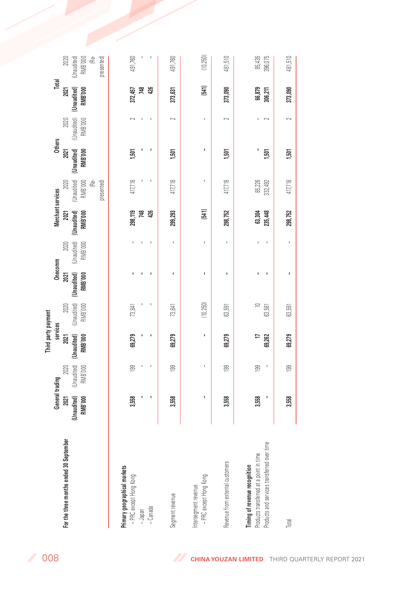|                                                                                                                         | General trading               |                                             | services                      | Third party payment    | Onecomm                       |                        | Merchant services             |                             | <b>Others</b>                 |                        |                               | Total                  |
|-------------------------------------------------------------------------------------------------------------------------|-------------------------------|---------------------------------------------|-------------------------------|------------------------|-------------------------------|------------------------|-------------------------------|-----------------------------|-------------------------------|------------------------|-------------------------------|------------------------|
| For the three months ended 30 September                                                                                 | 2021                          | 2020                                        | 2021                          | 2020                   | 2021                          | 2020                   | 2021                          | 2020                        | 2021                          | 2020                   | 2021                          |                        |
|                                                                                                                         | (Unaudited)<br><b>RMB'000</b> | (Unaudited)<br>RMB'000                      | (Unaudited)<br><b>RMB'000</b> | (Unaudited)<br>RMB'000 | (Unaudited)<br><b>RMB'000</b> | (Unaudited)<br>RMB'000 | <b>RMB'000</b><br>(Unaudited) | (Unaudited)<br>RMB'000<br>È | (Unaudited)<br><b>RMB'000</b> | (Unaudited)<br>RMB'000 | (Unaudited)<br><b>RMB'000</b> | (Unaudited)<br>RMB'000 |
|                                                                                                                         |                               |                                             |                               |                        |                               |                        |                               | presented)                  |                               |                        |                               | presented)             |
| Primary geographical markets                                                                                            |                               |                                             |                               |                        |                               |                        |                               |                             |                               |                        |                               |                        |
| - PRC except Hong Kong<br>- Japan                                                                                       | 3,558                         | 199                                         | 69,279                        | 73,841                 |                               |                        | 298,119<br>748                | 417,718                     | 1,501                         | $\sim$                 | 748<br>372,457                |                        |
| -Canada                                                                                                                 |                               |                                             |                               | Ï                      |                               |                        | 426                           |                             |                               |                        | 426                           |                        |
| Segment revenue                                                                                                         | 3,558                         | 199                                         | 69,279                        | 73,841                 | f,                            | $\mathbf{I}$           | 299,293                       | 417,718                     | 1,501                         | $\sim$                 | 373,631                       |                        |
| -PRC except Hong Kong<br>ntersegment revenue                                                                            | ı                             | $\mathbf{I}$                                | ı                             | (10, 250)              | ı                             | $\mathbf{I}$           | (541)                         | $\mathsf I$                 | ı                             | $\overline{1}$         | (541)                         |                        |
| Revenue from external customers                                                                                         | 3,558                         | 199                                         | 69,279                        | 63,591                 | ı                             | $\overline{1}$         | 298,752                       | 417,718                     | 1,501                         | $\sim$                 | 373,090                       |                        |
| Products and services transferred over time<br>Products transferred at a point in time<br>Timing of revenue recognition | 3,558<br>ı                    | $\begin{array}{c} \hline \end{array}$<br>99 | F<br>69,262                   | $\cong$<br>63,581      |                               |                        | 63,304<br>235,448             | 85,226<br>332, 492          | 1,501                         | $\sim$                 | 66,879<br>306,211             |                        |
| Total                                                                                                                   | 3,558                         | 99                                          | 69,279                        | 63,591                 | ï                             | $\mathbf{I}$           | 298,752                       | 417,718                     | 1,501                         | $\sim$                 | 373,090                       |                        |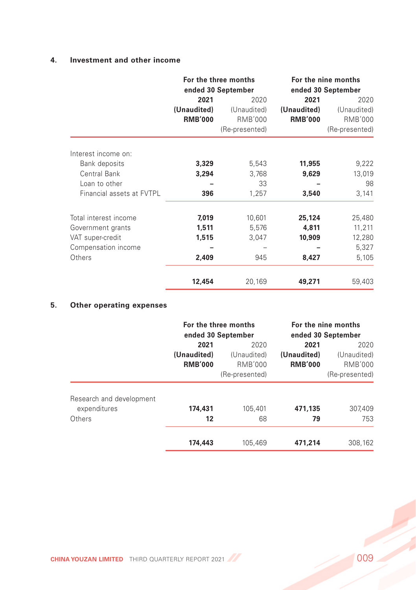#### **4. Investment and other income**

|                           |                                       | For the three months<br>ended 30 September              |                                       | For the nine months<br>ended 30 September               |
|---------------------------|---------------------------------------|---------------------------------------------------------|---------------------------------------|---------------------------------------------------------|
|                           | 2021<br>(Unaudited)<br><b>RMB'000</b> | 2020<br>(Unaudited)<br><b>RMB'000</b><br>(Re-presented) | 2021<br>(Unaudited)<br><b>RMB'000</b> | 2020<br>(Unaudited)<br><b>RMB'000</b><br>(Re-presented) |
| Interest income on:       |                                       |                                                         |                                       |                                                         |
| Bank deposits             | 3,329                                 | 5,543                                                   | 11,955                                | 9,222                                                   |
| Central Bank              | 3,294                                 | 3,768                                                   | 9,629                                 | 13,019                                                  |
| Loan to other             |                                       | 33                                                      |                                       | 98                                                      |
| Financial assets at FVTPL | 396                                   | 1,257                                                   | 3,540                                 | 3,141                                                   |
| Total interest income     | 7,019                                 | 10,601                                                  | 25,124                                | 25,480                                                  |
| Government grants         | 1,511                                 | 5,576                                                   | 4,811                                 | 11,211                                                  |
| VAT super-credit          | 1,515                                 | 3,047                                                   | 10,909                                | 12,280                                                  |
| Compensation income       |                                       |                                                         |                                       | 5,327                                                   |
| Others                    | 2,409                                 | 945                                                     | 8,427                                 | 5,105                                                   |
|                           | 12,454                                | 20,169                                                  | 49,271                                | 59,403                                                  |

## **5. Other operating expenses**

|                                                    |                                       | For the three months<br>ended 30 September |                                       | For the nine months<br>ended 30 September |
|----------------------------------------------------|---------------------------------------|--------------------------------------------|---------------------------------------|-------------------------------------------|
|                                                    | 2021<br>(Unaudited)<br><b>RMB'000</b> | 2020<br>(Unaudited)<br>RMB'000             | 2021<br>(Unaudited)<br><b>RMB'000</b> | 2020<br>(Unaudited)<br>RMB'000            |
|                                                    |                                       | (Re-presented)                             |                                       | (Re-presented)                            |
| Research and development<br>expenditures<br>Others | 174,431<br>12                         | 105,401<br>68                              | 471,135<br>79                         | 307,409<br>753                            |
|                                                    | 174,443                               | 105.469                                    | 471.214                               | 308.162                                   |

Z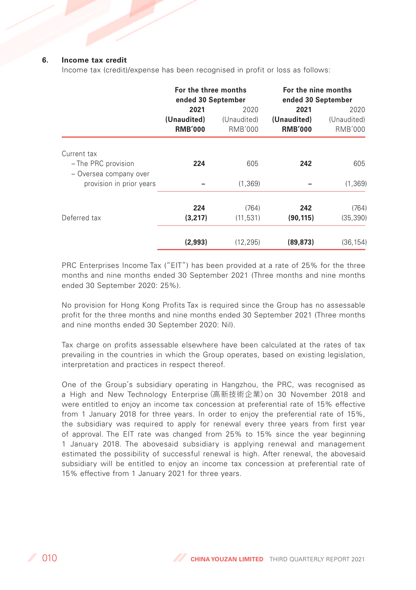#### **6. Income tax credit**

Income tax (credit)/expense has been recognised in profit or loss as follows:

|                                               | For the three months<br>ended 30 September |                                       | For the nine months<br>ended 30 September |                                       |
|-----------------------------------------------|--------------------------------------------|---------------------------------------|-------------------------------------------|---------------------------------------|
|                                               | 2021<br>(Unaudited)<br><b>RMB'000</b>      | 2020<br>(Unaudited)<br><b>RMB'000</b> | 2021<br>(Unaudited)<br><b>RMB'000</b>     | 2020<br>(Unaudited)<br><b>RMB'000</b> |
| Current tax                                   |                                            |                                       |                                           |                                       |
| - The PRC provision<br>- Oversea company over | 224                                        | 605                                   | 242                                       | 605                                   |
| provision in prior years                      |                                            | (1, 369)                              |                                           | (1, 369)                              |
|                                               | 224                                        | (764)                                 | 242                                       | (764)                                 |
| Deferred tax                                  | (3,217)                                    | (11, 531)                             | (90, 115)                                 | (35, 390)                             |
|                                               | (2,993)                                    | (12, 295)                             | (89, 873)                                 | (36, 154)                             |

PRC Enterprises Income Tax ("EIT") has been provided at a rate of 25% for the three months and nine months ended 30 September 2021 (Three months and nine months ended 30 September 2020: 25%).

No provision for Hong Kong Profits Tax is required since the Group has no assessable profit for the three months and nine months ended 30 September 2021 (Three months and nine months ended 30 September 2020: Nil).

Tax charge on profits assessable elsewhere have been calculated at the rates of tax prevailing in the countries in which the Group operates, based on existing legislation, interpretation and practices in respect thereof.

One of the Group's subsidiary operating in Hangzhou, the PRC, was recognised as a High and New Technology Enterprise(高新技術企業)on 30 November 2018 and were entitled to enjoy an income tax concession at preferential rate of 15% effective from 1 January 2018 for three years. In order to enjoy the preferential rate of 15%, the subsidiary was required to apply for renewal every three years from first year of approval. The EIT rate was changed from 25% to 15% since the year beginning 1 January 2018. The abovesaid subsidiary is applying renewal and management estimated the possibility of successful renewal is high. After renewal, the abovesaid subsidiary will be entitled to enjoy an income tax concession at preferential rate of 15% effective from 1 January 2021 for three years.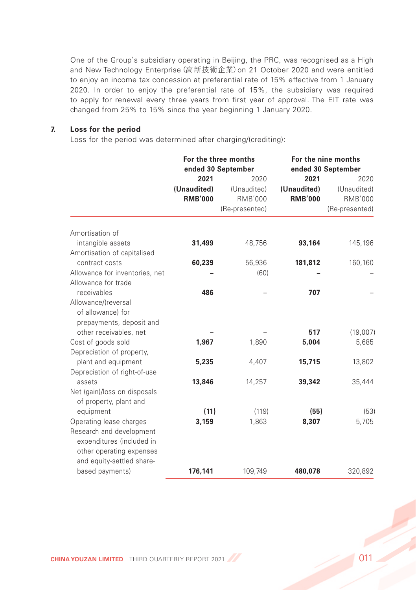One of the Group's subsidiary operating in Beijing, the PRC, was recognised as a High and New Technology Enterprise(高新技術企業)on 21 October 2020 and were entitled to enjoy an income tax concession at preferential rate of 15% effective from 1 January 2020. In order to enjoy the preferential rate of 15%, the subsidiary was required to apply for renewal every three years from first year of approval. The EIT rate was changed from 25% to 15% since the year beginning 1 January 2020.

#### **7. Loss for the period**

Loss for the period was determined after charging/(crediting):

|                                                                                                                |                                       | For the three months<br>ended 30 September              |                                       | For the nine months<br>ended 30 September               |
|----------------------------------------------------------------------------------------------------------------|---------------------------------------|---------------------------------------------------------|---------------------------------------|---------------------------------------------------------|
|                                                                                                                | 2021<br>(Unaudited)<br><b>RMB'000</b> | 2020<br>(Unaudited)<br><b>RMB'000</b><br>(Re-presented) | 2021<br>(Unaudited)<br><b>RMB'000</b> | 2020<br>(Unaudited)<br><b>RMB'000</b><br>(Re-presented) |
| Amortisation of                                                                                                |                                       |                                                         |                                       |                                                         |
| intangible assets                                                                                              | 31,499                                | 48,756                                                  | 93,164                                | 145,196                                                 |
| Amortisation of capitalised                                                                                    |                                       |                                                         |                                       |                                                         |
| contract costs                                                                                                 | 60,239                                | 56,936                                                  | 181,812                               | 160,160                                                 |
| Allowance for inventories, net                                                                                 |                                       | (60)                                                    |                                       |                                                         |
| Allowance for trade                                                                                            |                                       |                                                         |                                       |                                                         |
| receivables                                                                                                    | 486                                   |                                                         | 707                                   |                                                         |
| Allowance/(reversal<br>of allowance) for<br>prepayments, deposit and                                           |                                       |                                                         |                                       |                                                         |
| other receivables, net                                                                                         |                                       |                                                         | 517                                   | (19,007)                                                |
| Cost of goods sold                                                                                             | 1,967                                 | 1,890                                                   | 5,004                                 | 5,685                                                   |
| Depreciation of property,                                                                                      |                                       |                                                         |                                       |                                                         |
| plant and equipment                                                                                            | 5,235                                 | 4,407                                                   | 15,715                                | 13,802                                                  |
| Depreciation of right-of-use                                                                                   |                                       |                                                         |                                       |                                                         |
| assets                                                                                                         | 13,846                                | 14,257                                                  | 39,342                                | 35,444                                                  |
| Net (gain)/loss on disposals<br>of property, plant and                                                         | (11)                                  | (119)                                                   | (55)                                  |                                                         |
| equipment<br>Operating lease charges                                                                           | 3,159                                 | 1,863                                                   | 8,307                                 | (53)<br>5,705                                           |
| Research and development<br>expenditures (included in<br>other operating expenses<br>and equity-settled share- |                                       |                                                         |                                       |                                                         |
| based payments)                                                                                                | 176,141                               | 109,749                                                 | 480,078                               | 320,892                                                 |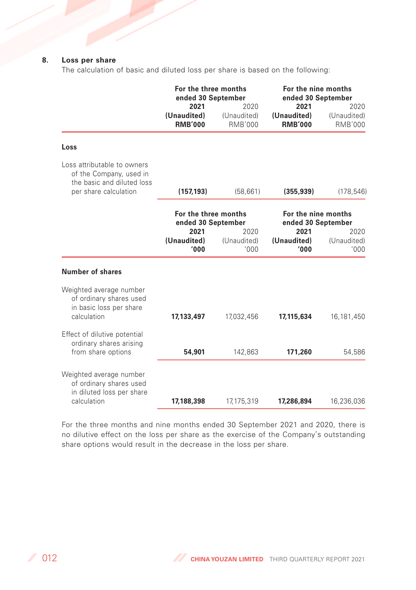#### **8. Loss per share**

The calculation of basic and diluted loss per share is based on the following:

|                                                                                                               | For the three months<br>ended 30 September |                                                                            | For the nine months<br>ended 30 September |                                                                          |
|---------------------------------------------------------------------------------------------------------------|--------------------------------------------|----------------------------------------------------------------------------|-------------------------------------------|--------------------------------------------------------------------------|
|                                                                                                               | 2021<br>(Unaudited)<br><b>RMB'000</b>      | 2020<br>(Unaudited)<br><b>RMB'000</b>                                      | 2021<br>(Unaudited)<br><b>RMB'000</b>     | 2020<br>(Unaudited)<br><b>RMB'000</b>                                    |
| Loss                                                                                                          |                                            |                                                                            |                                           |                                                                          |
| Loss attributable to owners<br>of the Company, used in<br>the basic and diluted loss<br>per share calculation | (157,193)                                  | (58, 661)                                                                  | (355, 939)                                | (178, 546)                                                               |
|                                                                                                               | 2021<br>(Unaudited)<br>'000'               | For the three months<br>ended 30 September<br>2020<br>(Unaudited)<br>'000' |                                           | For the nine months<br>ended 30 September<br>2020<br>(Unaudited)<br>'000 |
| Number of shares                                                                                              |                                            |                                                                            |                                           |                                                                          |
| Weighted average number<br>of ordinary shares used<br>in basic loss per share<br>calculation                  | 17,133,497                                 | 17,032,456                                                                 | 17,115,634                                | 16,181,450                                                               |
| Effect of dilutive potential<br>ordinary shares arising<br>from share options                                 | 54,901                                     | 142,863                                                                    | 171,260                                   | 54,586                                                                   |
| Weighted average number<br>of ordinary shares used<br>in diluted loss per share                               |                                            |                                                                            |                                           |                                                                          |
| calculation                                                                                                   | 17,188,398                                 | 17, 175, 319                                                               | 17,286,894                                | 16,236,036                                                               |

For the three months and nine months ended 30 September 2021 and 2020, there is no dilutive effect on the loss per share as the exercise of the Company's outstanding share options would result in the decrease in the loss per share.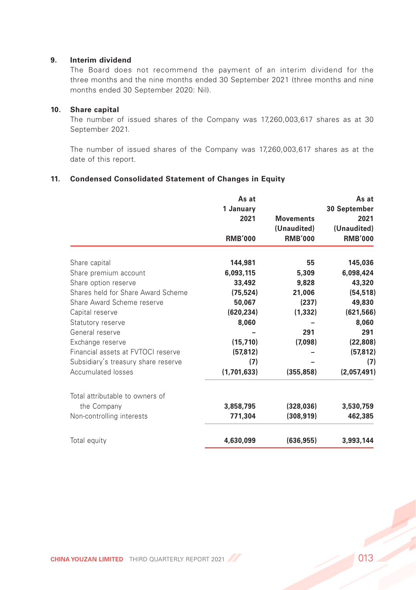#### **9. Interim dividend**

The Board does not recommend the payment of an interim dividend for the three months and the nine months ended 30 September 2021 (three months and nine months ended 30 September 2020: Nil).

#### **10. Share capital**

The number of issued shares of the Company was 17,260,003,617 shares as at 30 September 2021.

The number of issued shares of the Company was 17,260,003,617 shares as at the date of this report.

#### **11. Condensed Consolidated Statement of Changes in Equity**

|                                     | As at<br>1 January |                  | As at<br>30 September |
|-------------------------------------|--------------------|------------------|-----------------------|
|                                     | 2021               | <b>Movements</b> | 2021                  |
|                                     |                    | (Unaudited)      | (Unaudited)           |
|                                     | <b>RMB'000</b>     | <b>RMB'000</b>   | <b>RMB'000</b>        |
| Share capital                       | 144,981            | 55               | 145,036               |
| Share premium account               | 6,093,115          | 5,309            | 6,098,424             |
| Share option reserve                | 33,492             | 9,828            | 43,320                |
| Shares held for Share Award Scheme  | (75, 524)          | 21,006           | (54, 518)             |
| Share Award Scheme reserve          | 50,067             | (237)            | 49,830                |
| Capital reserve                     | (620, 234)         | (1, 332)         | (621, 566)            |
| Statutory reserve                   | 8,060              |                  | 8,060                 |
| General reserve                     |                    | 291              | 291                   |
| Exchange reserve                    | (15, 710)          | (7,098)          | (22, 808)             |
| Financial assets at FVTOCI reserve  | (57, 812)          |                  | (57, 812)             |
| Subsidiary's treasury share reserve | (7)                |                  | (7)                   |
| Accumulated losses                  | (1,701,633)        | (355, 858)       | (2,057,491)           |
| Total attributable to owners of     |                    |                  |                       |
| the Company                         | 3,858,795          | (328, 036)       | 3,530,759             |
| Non-controlling interests           | 771,304            | (308, 919)       | 462,385               |
| Total equity                        | 4,630,099          | (636, 955)       | 3,993,144             |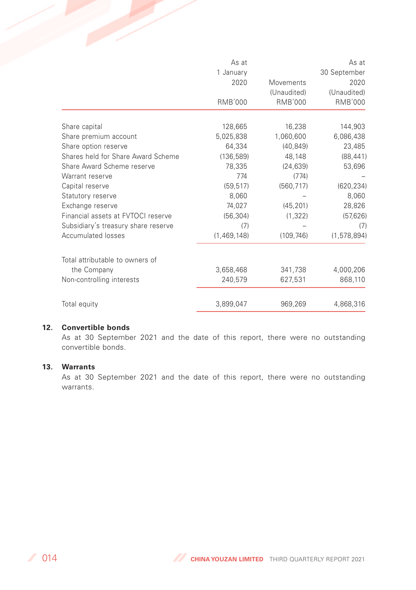|                                     | As at          |                | As at         |
|-------------------------------------|----------------|----------------|---------------|
|                                     | 1 January      |                | 30 September  |
|                                     | 2020           | Movements      | 2020          |
|                                     |                | (Unaudited)    | (Unaudited)   |
|                                     | <b>RMB'000</b> | <b>RMB'000</b> | RMB'000       |
| Share capital                       | 128,665        | 16,238         | 144,903       |
| Share premium account               | 5,025,838      | 1,060,600      | 6,086,438     |
|                                     |                |                |               |
| Share option reserve                | 64,334         | (40, 849)      | 23,485        |
| Shares held for Share Award Scheme  | (136, 589)     | 48.148         | (88, 441)     |
| Share Award Scheme reserve          | 78,335         | (24, 639)      | 53,696        |
| Warrant reserve                     | 774            | (774)          |               |
| Capital reserve                     | (59, 517)      | (560, 717)     | (620, 234)    |
| Statutory reserve                   | 8,060          |                | 8,060         |
| Exchange reserve                    | 74,027         | (45, 201)      | 28,826        |
| Financial assets at FVTOCI reserve  | (56, 304)      | (1, 322)       | (57, 626)     |
| Subsidiary's treasury share reserve | (7)            |                | (7)           |
| Accumulated losses                  | (1,469,148)    | (109, 746)     | (1, 578, 894) |
| Total attributable to owners of     |                |                |               |
| the Company                         | 3,658,468      | 341,738        | 4,000,206     |
| Non-controlling interests           | 240,579        | 627,531        | 868,110       |
|                                     |                |                |               |
| Total equity                        | 3,899,047      | 969,269        | 4,868,316     |

#### **12. Convertible bonds**

As at 30 September 2021 and the date of this report, there were no outstanding convertible bonds.

#### **13. Warrants**

As at 30 September 2021 and the date of this report, there were no outstanding warrants.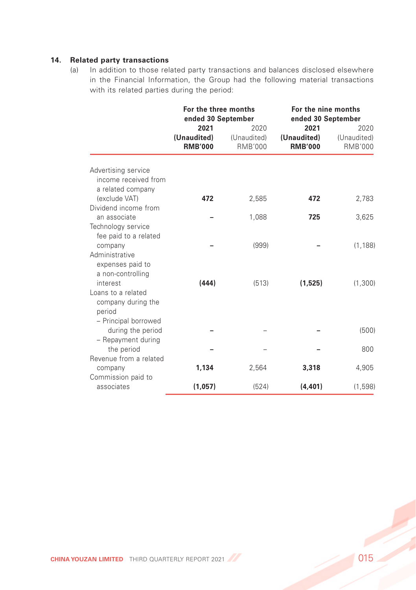#### **14. Related party transactions**

(a) In addition to those related party transactions and balances disclosed elsewhere in the Financial Information, the Group had the following material transactions with its related parties during the period:

|                                                                    | For the three months<br>ended 30 September<br>2021 | 2020                          | For the nine months<br>ended 30 September<br>2021 | 2020                          |
|--------------------------------------------------------------------|----------------------------------------------------|-------------------------------|---------------------------------------------------|-------------------------------|
|                                                                    | (Unaudited)<br><b>RMB'000</b>                      | (Unaudited)<br><b>RMB'000</b> | (Unaudited)<br><b>RMB'000</b>                     | (Unaudited)<br><b>RMB'000</b> |
| Advertising service<br>income received from<br>a related company   |                                                    |                               |                                                   |                               |
| (exclude VAT)                                                      | 472                                                | 2,585                         | 472                                               | 2,783                         |
| Dividend income from<br>an associate                               |                                                    | 1,088                         | 725                                               | 3,625                         |
| Technology service<br>fee paid to a related                        |                                                    |                               |                                                   |                               |
| company<br>Administrative<br>expenses paid to<br>a non-controlling |                                                    | (999)                         |                                                   | (1, 188)                      |
| interest<br>Loans to a related                                     | (444)                                              | (513)                         | (1,525)                                           | (1,300)                       |
| company during the<br>period                                       |                                                    |                               |                                                   |                               |
| - Principal borrowed<br>during the period                          |                                                    |                               |                                                   | (500)                         |
| - Repayment during<br>the period                                   |                                                    |                               |                                                   | 800                           |
| Revenue from a related                                             |                                                    |                               |                                                   |                               |
| company<br>Commission paid to                                      | 1,134                                              | 2,564                         | 3,318                                             | 4,905                         |
| associates                                                         | (1,057)                                            | (524)                         | (4, 401)                                          | (1, 598)                      |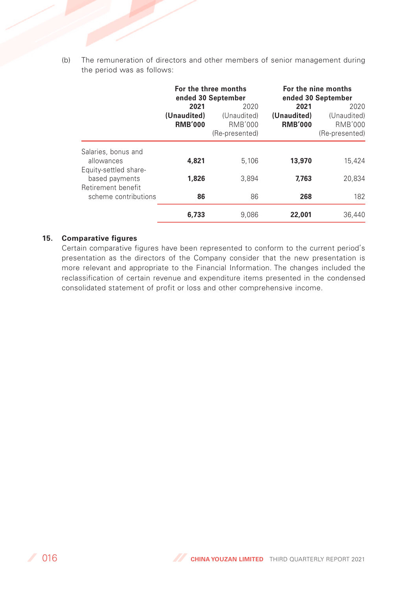(b) The remuneration of directors and other members of senior management during the period was as follows:

|                                                               |                                       | For the three months<br>ended 30 September       |                                       | For the nine months<br>ended 30 September               |
|---------------------------------------------------------------|---------------------------------------|--------------------------------------------------|---------------------------------------|---------------------------------------------------------|
|                                                               | 2021<br>(Unaudited)<br><b>RMB'000</b> | 2020<br>(Unaudited)<br>RMB'000<br>(Re-presented) | 2021<br>(Unaudited)<br><b>RMB'000</b> | 2020<br>(Unaudited)<br><b>RMB'000</b><br>(Re-presented) |
| Salaries, bonus and<br>allowances                             | 4,821                                 | 5,106                                            | 13,970                                | 15,424                                                  |
| Equity-settled share-<br>based payments<br>Retirement benefit | 1,826                                 | 3.894                                            | 7.763                                 | 20.834                                                  |
| scheme contributions                                          | 86                                    | 86                                               | 268                                   | 182                                                     |
|                                                               | 6,733                                 | 9.086                                            | 22,001                                | 36,440                                                  |

#### **15. Comparative figures**

Certain comparative figures have been represented to conform to the current period's presentation as the directors of the Company consider that the new presentation is more relevant and appropriate to the Financial Information. The changes included the reclassification of certain revenue and expenditure items presented in the condensed consolidated statement of profit or loss and other comprehensive income.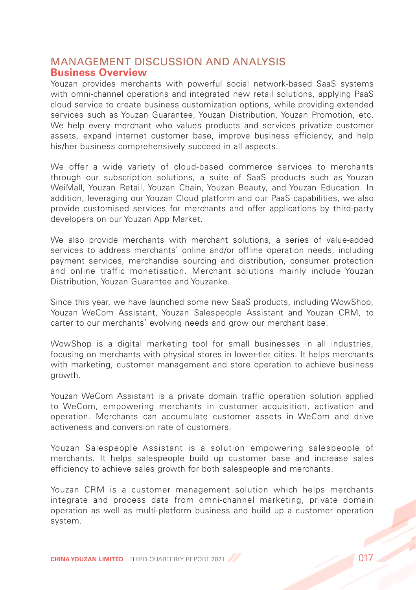## MANAGEMENT DISCUSSION AND ANALYSIS **Business Overview**

Youzan provides merchants with powerful social network-based SaaS systems with omni-channel operations and integrated new retail solutions, applying PaaS cloud service to create business customization options, while providing extended services such as Youzan Guarantee, Youzan Distribution, Youzan Promotion, etc. We help every merchant who values products and services privatize customer assets, expand internet customer base, improve business efficiency, and help his/her business comprehensively succeed in all aspects.

We offer a wide variety of cloud-based commerce services to merchants through our subscription solutions, a suite of SaaS products such as Youzan WeiMall, Youzan Retail, Youzan Chain, Youzan Beauty, and Youzan Education. In addition, leveraging our Youzan Cloud platform and our PaaS capabilities, we also provide customised services for merchants and offer applications by third-party developers on our Youzan App Market.

We also provide merchants with merchant solutions, a series of value-added services to address merchants' online and/or offline operation needs, including payment services, merchandise sourcing and distribution, consumer protection and online traffic monetisation. Merchant solutions mainly include Youzan Distribution, Youzan Guarantee and Youzanke.

Since this year, we have launched some new SaaS products, including WowShop, Youzan WeCom Assistant, Youzan Salespeople Assistant and Youzan CRM, to carter to our merchants' evolving needs and grow our merchant base.

WowShop is a digital marketing tool for small businesses in all industries, focusing on merchants with physical stores in lower-tier cities. It helps merchants with marketing, customer management and store operation to achieve business growth.

Youzan WeCom Assistant is a private domain traffic operation solution applied to WeCom, empowering merchants in customer acquisition, activation and operation. Merchants can accumulate customer assets in WeCom and drive activeness and conversion rate of customers.

Youzan Salespeople Assistant is a solution empowering salespeople of merchants. It helps salespeople build up customer base and increase sales efficiency to achieve sales growth for both salespeople and merchants.

Youzan CRM is a customer management solution which helps merchants integrate and process data from omni-channel marketing, private domain operation as well as multi-platform business and build up a customer operation system.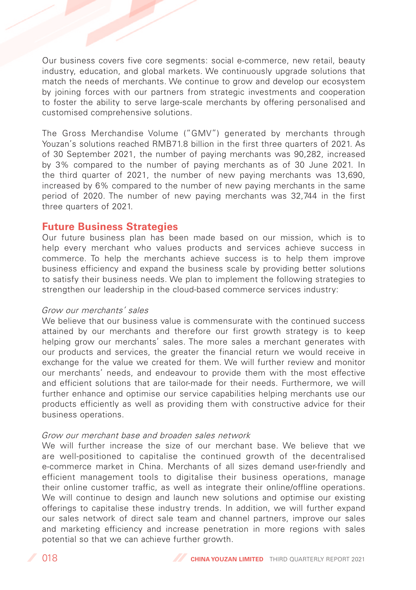Our business covers five core segments: social e-commerce, new retail, beauty industry, education, and global markets. We continuously upgrade solutions that match the needs of merchants. We continue to grow and develop our ecosystem by joining forces with our partners from strategic investments and cooperation to foster the ability to serve large-scale merchants by offering personalised and customised comprehensive solutions.

The Gross Merchandise Volume ("GMV") generated by merchants through Youzan's solutions reached RMB71.8 billion in the first three quarters of 2021. As of 30 September 2021, the number of paying merchants was 90,282, increased by 3% compared to the number of paying merchants as of 30 June 2021. In the third quarter of 2021, the number of new paying merchants was 13,690, increased by 6% compared to the number of new paying merchants in the same period of 2020. The number of new paying merchants was 32,744 in the first three quarters of 2021.

## **Future Business Strategies**

Our future business plan has been made based on our mission, which is to help every merchant who values products and services achieve success in commerce. To help the merchants achieve success is to help them improve business efficiency and expand the business scale by providing better solutions to satisfy their business needs. We plan to implement the following strategies to strengthen our leadership in the cloud-based commerce services industry:

#### Grow our merchants' sales

We believe that our business value is commensurate with the continued success attained by our merchants and therefore our first growth strategy is to keep helping grow our merchants' sales. The more sales a merchant generates with our products and services, the greater the financial return we would receive in exchange for the value we created for them. We will further review and monitor our merchants' needs, and endeavour to provide them with the most effective and efficient solutions that are tailor-made for their needs. Furthermore, we will further enhance and optimise our service capabilities helping merchants use our products efficiently as well as providing them with constructive advice for their business operations.

#### Grow our merchant base and broaden sales network

We will further increase the size of our merchant base. We believe that we are well-positioned to capitalise the continued growth of the decentralised e-commerce market in China. Merchants of all sizes demand user-friendly and efficient management tools to digitalise their business operations, manage their online customer traffic, as well as integrate their online/offline operations. We will continue to design and launch new solutions and optimise our existing offerings to capitalise these industry trends. In addition, we will further expand our sales network of direct sale team and channel partners, improve our sales and marketing efficiency and increase penetration in more regions with sales potential so that we can achieve further growth.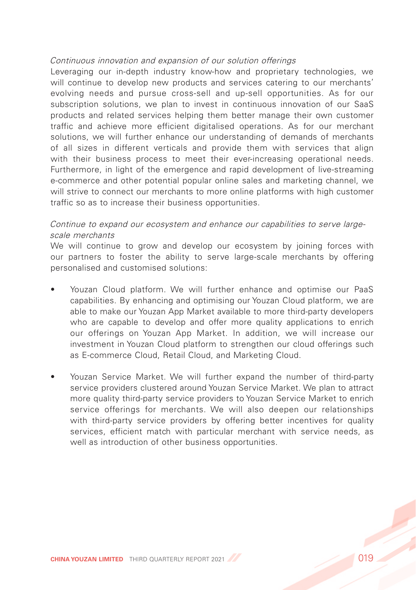#### Continuous innovation and expansion of our solution offerings

Leveraging our in-depth industry know-how and proprietary technologies, we will continue to develop new products and services catering to our merchants' evolving needs and pursue cross-sell and up-sell opportunities. As for our subscription solutions, we plan to invest in continuous innovation of our SaaS products and related services helping them better manage their own customer traffic and achieve more efficient digitalised operations. As for our merchant solutions, we will further enhance our understanding of demands of merchants of all sizes in different verticals and provide them with services that align with their business process to meet their ever-increasing operational needs. Furthermore, in light of the emergence and rapid development of live-streaming e-commerce and other potential popular online sales and marketing channel, we will strive to connect our merchants to more online platforms with high customer traffic so as to increase their business opportunities.

#### Continue to expand our ecosystem and enhance our capabilities to serve largescale merchants

We will continue to grow and develop our ecosystem by joining forces with our partners to foster the ability to serve large-scale merchants by offering personalised and customised solutions:

- Youzan Cloud platform. We will further enhance and optimise our PaaS capabilities. By enhancing and optimising our Youzan Cloud platform, we are able to make our Youzan App Market available to more third-party developers who are capable to develop and offer more quality applications to enrich our offerings on Youzan App Market. In addition, we will increase our investment in Youzan Cloud platform to strengthen our cloud offerings such as E-commerce Cloud, Retail Cloud, and Marketing Cloud.
- Youzan Service Market. We will further expand the number of third-party service providers clustered around Youzan Service Market. We plan to attract more quality third-party service providers to Youzan Service Market to enrich service offerings for merchants. We will also deepen our relationships with third-party service providers by offering better incentives for quality services, efficient match with particular merchant with service needs, as well as introduction of other business opportunities.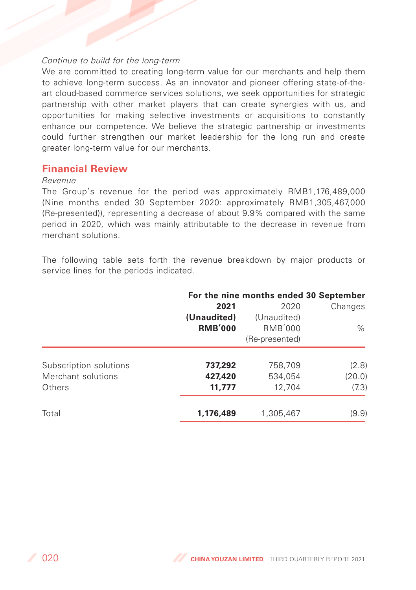#### Continue to build for the long-term

We are committed to creating long-term value for our merchants and help them to achieve long-term success. As an innovator and pioneer offering state-of-theart cloud-based commerce services solutions, we seek opportunities for strategic partnership with other market players that can create synergies with us, and opportunities for making selective investments or acquisitions to constantly enhance our competence. We believe the strategic partnership or investments could further strengthen our market leadership for the long run and create greater long-term value for our merchants.

## **Financial Review**

#### Revenue

The Group's revenue for the period was approximately RMB1,176,489,000 (Nine months ended 30 September 2020: approximately RMB1,305,467,000 (Re-presented)), representing a decrease of about 9.9% compared with the same period in 2020, which was mainly attributable to the decrease in revenue from merchant solutions.

The following table sets forth the revenue breakdown by major products or service lines for the periods indicated.

|                        |                | For the nine months ended 30 September |         |
|------------------------|----------------|----------------------------------------|---------|
|                        | 2021           | 2020                                   | Changes |
|                        | (Unaudited)    | (Unaudited)                            |         |
|                        | <b>RMB'000</b> | RMB'000                                | $\%$    |
|                        |                | (Re-presented)                         |         |
| Subscription solutions | 737,292        | 758,709                                | (2.8)   |
| Merchant solutions     | 427,420        | 534,054                                | (20.0)  |
| Others                 | 11,777         | 12,704                                 | (7.3)   |
| Total                  | 1,176,489      | 1,305,467                              | (9.9)   |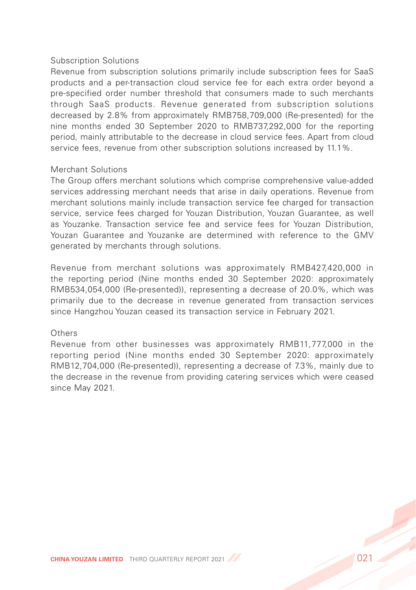#### Subscription Solutions

Revenue from subscription solutions primarily include subscription fees for SaaS products and a per-transaction cloud service fee for each extra order beyond a pre-specified order number threshold that consumers made to such merchants through SaaS products. Revenue generated from subscription solutions decreased by 2.8% from approximately RMB758,709,000 (Re-presented) for the nine months ended 30 September 2020 to RMB737,292,000 for the reporting period, mainly attributable to the decrease in cloud service fees. Apart from cloud service fees, revenue from other subscription solutions increased by 11.1%.

## Merchant Solutions

The Group offers merchant solutions which comprise comprehensive value-added services addressing merchant needs that arise in daily operations. Revenue from merchant solutions mainly include transaction service fee charged for transaction service, service fees charged for Youzan Distribution, Youzan Guarantee, as well as Youzanke. Transaction service fee and service fees for Youzan Distribution, Youzan Guarantee and Youzanke are determined with reference to the GMV generated by merchants through solutions.

Revenue from merchant solutions was approximately RMB427,420,000 in the reporting period (Nine months ended 30 September 2020: approximately RMB534,054,000 (Re-presented)), representing a decrease of 20.0%, which was primarily due to the decrease in revenue generated from transaction services since Hangzhou Youzan ceased its transaction service in February 2021.

#### Others

Revenue from other businesses was approximately RMB11,777,000 in the reporting period (Nine months ended 30 September 2020: approximately RMB12,704,000 (Re-presented)), representing a decrease of 7.3%, mainly due to the decrease in the revenue from providing catering services which were ceased since May 2021.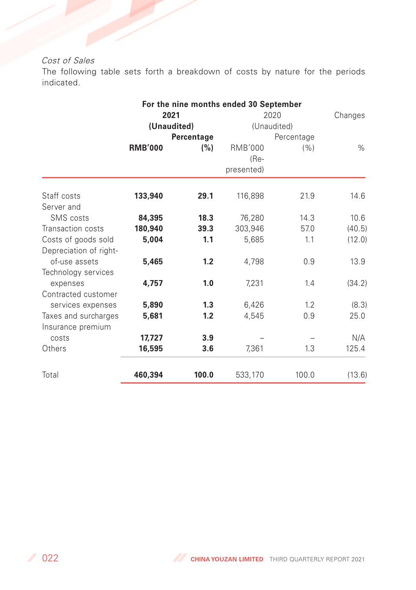## Cost of Sales

The following table sets forth a breakdown of costs by nature for the periods indicated.

|                                                                |                | For the nine months ended 30 September<br>2021 |                                        | 2020                      | Changes        |
|----------------------------------------------------------------|----------------|------------------------------------------------|----------------------------------------|---------------------------|----------------|
|                                                                |                | (Unaudited)<br>Percentage                      |                                        | (Unaudited)<br>Percentage |                |
|                                                                | <b>RMB'000</b> | (%)                                            | <b>RMB'000</b><br>$(Re-$<br>presented) | (% )                      | $\%$           |
| Staff costs<br>Server and                                      | 133,940        | 29.1                                           | 116,898                                | 21.9                      | 14.6           |
| SMS costs                                                      | 84,395         | 18.3                                           | 76,280                                 | 14.3                      | 10.6           |
| Transaction costs                                              | 180,940        | 39.3                                           | 303,946                                | 57.0                      | (40.5)         |
| Costs of goods sold<br>Depreciation of right-<br>of-use assets | 5,004<br>5,465 | 1.1<br>1.2                                     | 5,685<br>4,798                         | 1.1<br>0.9                | (12.0)<br>13.9 |
| Technology services<br>expenses                                | 4,757          | 1.0                                            | 7,231                                  | 1.4                       | (34.2)         |
| Contracted customer<br>services expenses                       | 5,890          | 1.3                                            | 6,426                                  | 1.2                       | (8.3)          |
| Taxes and surcharges<br>Insurance premium                      | 5,681          | 1.2                                            | 4,545                                  | 0.9                       | 25.0           |
| costs                                                          | 17,727         | 3.9                                            |                                        |                           | N/A            |
| Others                                                         | 16,595         | 3.6                                            | 7,361                                  | 1.3                       | 125.4          |
| Total                                                          | 460.394        | 100.0                                          | 533,170                                | 100.0                     | (13.6)         |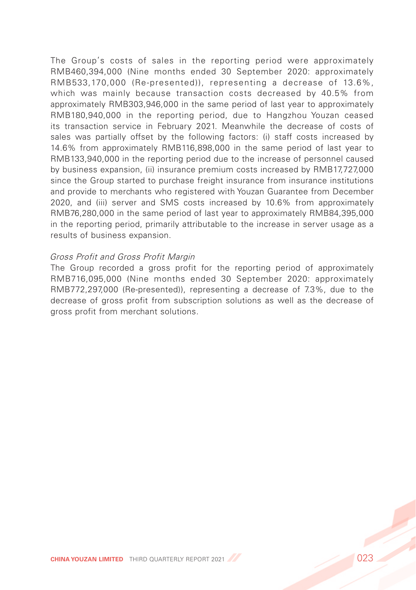The Group's costs of sales in the reporting period were approximately RMB460,394,000 (Nine months ended 30 September 2020: approximately RMB533,170,000 (Re-presented)), representing a decrease of 13.6%, which was mainly because transaction costs decreased by 40.5% from approximately RMB303,946,000 in the same period of last year to approximately RMB180,940,000 in the reporting period, due to Hangzhou Youzan ceased its transaction service in February 2021. Meanwhile the decrease of costs of sales was partially offset by the following factors: (i) staff costs increased by 14.6% from approximately RMB116,898,000 in the same period of last year to RMB133,940,000 in the reporting period due to the increase of personnel caused by business expansion, (ii) insurance premium costs increased by RMB17,727,000 since the Group started to purchase freight insurance from insurance institutions and provide to merchants who registered with Youzan Guarantee from December 2020, and (iii) server and SMS costs increased by 10.6% from approximately RMB76,280,000 in the same period of last year to approximately RMB84,395,000 in the reporting period, primarily attributable to the increase in server usage as a results of business expansion.

#### Gross Profit and Gross Profit Margin

The Group recorded a gross profit for the reporting period of approximately RMB716,095,000 (Nine months ended 30 September 2020: approximately RMB772,297,000 (Re-presented)), representing a decrease of 7.3%, due to the decrease of gross profit from subscription solutions as well as the decrease of gross profit from merchant solutions.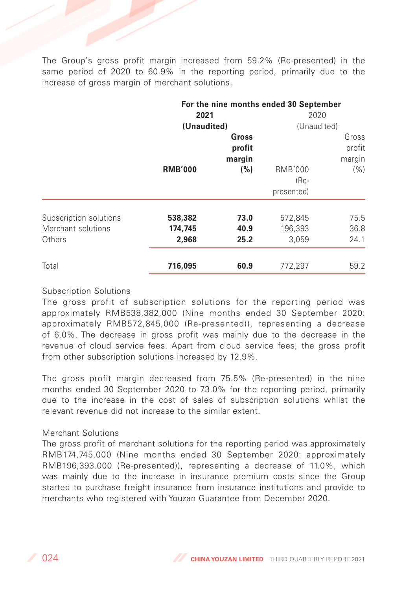The Group's gross profit margin increased from 59.2% (Re-presented) in the same period of 2020 to 60.9% in the reporting period, primarily due to the increase of gross margin of merchant solutions.

|                        |                |        | For the nine months ended 30 September |        |
|------------------------|----------------|--------|----------------------------------------|--------|
|                        | 2021           |        | 2020                                   |        |
|                        | (Unaudited)    |        | (Unaudited)                            |        |
|                        |                | Gross  |                                        | Gross  |
|                        |                | profit |                                        | profit |
|                        |                | margin |                                        | margin |
|                        | <b>RMB'000</b> | (%)    | <b>RMB'000</b>                         | (% )   |
|                        |                |        | (Re-                                   |        |
|                        |                |        | presented)                             |        |
| Subscription solutions | 538,382        | 73.0   | 572,845                                | 75.5   |
| Merchant solutions     | 174,745        | 40.9   | 196,393                                | 36.8   |
| Others                 | 2,968          | 25.2   | 3,059                                  | 24.1   |
| Total                  | 716,095        | 60.9   | 772,297                                | 59.2   |

#### Subscription Solutions

The gross profit of subscription solutions for the reporting period was approximately RMB538,382,000 (Nine months ended 30 September 2020: approximately RMB572,845,000 (Re-presented)), representing a decrease of 6.0%. The decrease in gross profit was mainly due to the decrease in the revenue of cloud service fees. Apart from cloud service fees, the gross profit from other subscription solutions increased by 12.9%.

The gross profit margin decreased from 75.5% (Re-presented) in the nine months ended 30 September 2020 to 73.0% for the reporting period, primarily due to the increase in the cost of sales of subscription solutions whilst the relevant revenue did not increase to the similar extent.

#### Merchant Solutions

The gross profit of merchant solutions for the reporting period was approximately RMB174,745,000 (Nine months ended 30 September 2020: approximately RMB196,393.000 (Re-presented)), representing a decrease of 11.0%, which was mainly due to the increase in insurance premium costs since the Group started to purchase freight insurance from insurance institutions and provide to merchants who registered with Youzan Guarantee from December 2020.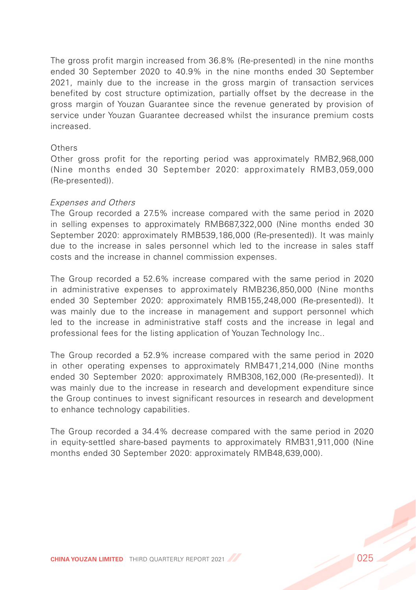The gross profit margin increased from 36.8% (Re-presented) in the nine months ended 30 September 2020 to 40.9% in the nine months ended 30 September 2021, mainly due to the increase in the gross margin of transaction services benefited by cost structure optimization, partially offset by the decrease in the gross margin of Youzan Guarantee since the revenue generated by provision of service under Youzan Guarantee decreased whilst the insurance premium costs increased.

#### **Others**

Other gross profit for the reporting period was approximately RMB2,968,000 (Nine months ended 30 September 2020: approximately RMB3,059,000 (Re-presented)).

#### Expenses and Others

The Group recorded a 27.5% increase compared with the same period in 2020 in selling expenses to approximately RMB687,322,000 (Nine months ended 30 September 2020: approximately RMB539,186,000 (Re-presented)). It was mainly due to the increase in sales personnel which led to the increase in sales staff costs and the increase in channel commission expenses.

The Group recorded a 52.6% increase compared with the same period in 2020 in administrative expenses to approximately RMB236,850,000 (Nine months ended 30 September 2020: approximately RMB155,248,000 (Re-presented)). It was mainly due to the increase in management and support personnel which led to the increase in administrative staff costs and the increase in legal and professional fees for the listing application of Youzan Technology Inc..

The Group recorded a 52.9% increase compared with the same period in 2020 in other operating expenses to approximately RMB471,214,000 (Nine months ended 30 September 2020: approximately RMB308,162,000 (Re-presented)). It was mainly due to the increase in research and development expenditure since the Group continues to invest significant resources in research and development to enhance technology capabilities.

The Group recorded a 34.4% decrease compared with the same period in 2020 in equity-settled share-based payments to approximately RMB31,911,000 (Nine months ended 30 September 2020: approximately RMB48,639,000).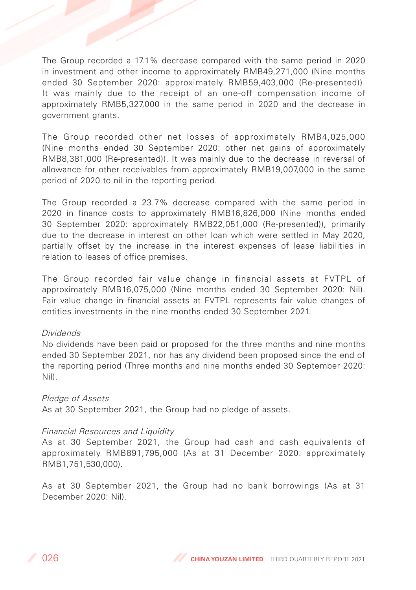The Group recorded a 17.1% decrease compared with the same period in 2020 in investment and other income to approximately RMB49,271,000 (Nine months ended 30 September 2020: approximately RMB59,403,000 (Re-presented)). It was mainly due to the receipt of an one-off compensation income of approximately RMB5,327,000 in the same period in 2020 and the decrease in government grants.

The Group recorded other net losses of approximately RMB4,025,000 (Nine months ended 30 September 2020: other net gains of approximately RMB8,381,000 (Re-presented)). It was mainly due to the decrease in reversal of allowance for other receivables from approximately RMB19,007,000 in the same period of 2020 to nil in the reporting period.

The Group recorded a 23.7% decrease compared with the same period in 2020 in finance costs to approximately RMB16,826,000 (Nine months ended 30 September 2020: approximately RMB22,051,000 (Re-presented)), primarily due to the decrease in interest on other loan which were settled in May 2020, partially offset by the increase in the interest expenses of lease liabilities in relation to leases of office premises.

The Group recorded fair value change in financial assets at FVTPL of approximately RMB16,075,000 (Nine months ended 30 September 2020: Nil). Fair value change in financial assets at FVTPL represents fair value changes of entities investments in the nine months ended 30 September 2021.

#### Dividends

No dividends have been paid or proposed for the three months and nine months ended 30 September 2021, nor has any dividend been proposed since the end of the reporting period (Three months and nine months ended 30 September 2020: Nil).

#### Pledge of Assets

As at 30 September 2021, the Group had no pledge of assets.

#### Financial Resources and Liquidity

As at 30 September 2021, the Group had cash and cash equivalents of approximately RMB891,795,000 (As at 31 December 2020: approximately RMB1,751,530,000).

As at 30 September 2021, the Group had no bank borrowings (As at 31 December 2020: Nil)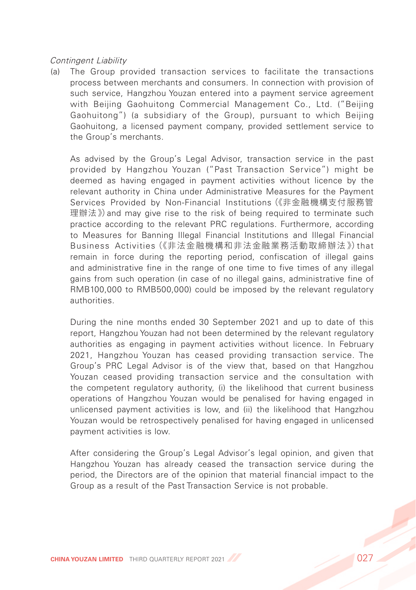#### Contingent Liability

(a) The Group provided transaction services to facilitate the transactions process between merchants and consumers. In connection with provision of such service, Hangzhou Youzan entered into a payment service agreement with Beijing Gaohuitong Commercial Management Co., Ltd. ("Beijing Gaohuitong") (a subsidiary of the Group), pursuant to which Beijing Gaohuitong, a licensed payment company, provided settlement service to the Group's merchants.

As advised by the Group's Legal Advisor, transaction service in the past provided by Hangzhou Youzan ("Past Transaction Service") might be deemed as having engaged in payment activities without licence by the relevant authority in China under Administrative Measures for the Payment Services Provided by Non-Financial Institutions(《非金融機構支付服務管 理辦法》)and may give rise to the risk of being required to terminate such practice according to the relevant PRC regulations. Furthermore, according to Measures for Banning Illegal Financial Institutions and Illegal Financial Business Activities(《非法金融機構和非法金融業務活動取締辦法 》)that remain in force during the reporting period, confiscation of illegal gains and administrative fine in the range of one time to five times of any illegal gains from such operation (in case of no illegal gains, administrative fine of RMB100,000 to RMB500,000) could be imposed by the relevant regulatory authorities.

During the nine months ended 30 September 2021 and up to date of this report, Hangzhou Youzan had not been determined by the relevant regulatory authorities as engaging in payment activities without licence. In February 2021, Hangzhou Youzan has ceased providing transaction service. The Group's PRC Legal Advisor is of the view that, based on that Hangzhou Youzan ceased providing transaction service and the consultation with the competent regulatory authority, (i) the likelihood that current business operations of Hangzhou Youzan would be penalised for having engaged in unlicensed payment activities is low, and (ii) the likelihood that Hangzhou Youzan would be retrospectively penalised for having engaged in unlicensed payment activities is low.

After considering the Group's Legal Advisor's legal opinion, and given that Hangzhou Youzan has already ceased the transaction service during the period, the Directors are of the opinion that material financial impact to the Group as a result of the Past Transaction Service is not probable.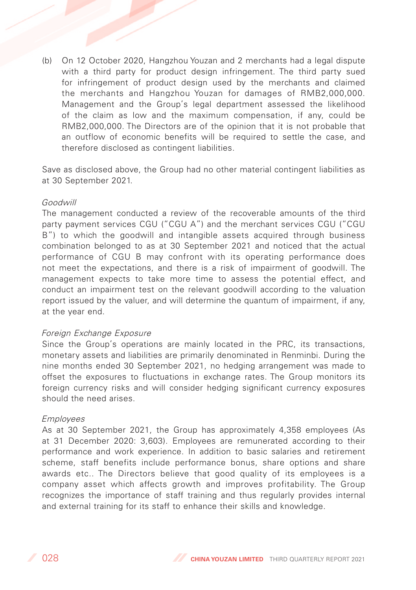(b) On 12 October 2020, Hangzhou Youzan and 2 merchants had a legal dispute with a third party for product design infringement. The third party sued for infringement of product design used by the merchants and claimed the merchants and Hangzhou Youzan for damages of RMB2,000,000. Management and the Group's legal department assessed the likelihood of the claim as low and the maximum compensation, if any, could be RMB2,000,000. The Directors are of the opinion that it is not probable that an outflow of economic benefits will be required to settle the case, and therefore disclosed as contingent liabilities.

Save as disclosed above, the Group had no other material contingent liabilities as at 30 September 2021.

#### Goodwill

The management conducted a review of the recoverable amounts of the third party payment services CGU ("CGU A") and the merchant services CGU ("CGU B") to which the goodwill and intangible assets acquired through business combination belonged to as at 30 September 2021 and noticed that the actual performance of CGU B may confront with its operating performance does not meet the expectations, and there is a risk of impairment of goodwill. The management expects to take more time to assess the potential effect, and conduct an impairment test on the relevant goodwill according to the valuation report issued by the valuer, and will determine the quantum of impairment, if any, at the year end.

#### Foreign Exchange Exposure

Since the Group's operations are mainly located in the PRC, its transactions, monetary assets and liabilities are primarily denominated in Renminbi. During the nine months ended 30 September 2021, no hedging arrangement was made to offset the exposures to fluctuations in exchange rates. The Group monitors its foreign currency risks and will consider hedging significant currency exposures should the need arises.

#### Employees

As at 30 September 2021, the Group has approximately 4,358 employees (As at 31 December 2020: 3,603). Employees are remunerated according to their performance and work experience. In addition to basic salaries and retirement scheme, staff benefits include performance bonus, share options and share awards etc.. The Directors believe that good quality of its employees is a company asset which affects growth and improves profitability. The Group recognizes the importance of staff training and thus regularly provides internal and external training for its staff to enhance their skills and knowledge.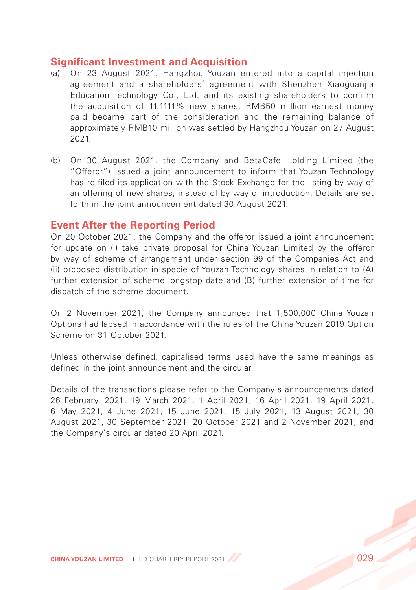## **Significant Investment and Acquisition**

- (a) On 23 August 2021, Hangzhou Youzan entered into a capital injection agreement and a shareholders' agreement with Shenzhen Xiaoguanjia Education Technology Co., Ltd. and its existing shareholders to confirm the acquisition of 11.1111% new shares. RMB50 million earnest money paid became part of the consideration and the remaining balance of approximately RMB10 million was settled by Hangzhou Youzan on 27 August 2021.
- (b) On 30 August 2021, the Company and BetaCafe Holding Limited (the "Offeror") issued a joint announcement to inform that Youzan Technology has re-filed its application with the Stock Exchange for the listing by way of an offering of new shares, instead of by way of introduction. Details are set forth in the joint announcement dated 30 August 2021.

## **Event After the Reporting Period**

On 20 October 2021, the Company and the offeror issued a joint announcement for update on (i) take private proposal for China Youzan Limited by the offeror by way of scheme of arrangement under section 99 of the Companies Act and (ii) proposed distribution in specie of Youzan Technology shares in relation to (A) further extension of scheme longstop date and (B) further extension of time for dispatch of the scheme document.

On 2 November 2021, the Company announced that 1,500,000 China Youzan Options had lapsed in accordance with the rules of the China Youzan 2019 Option Scheme on 31 October 2021.

Unless otherwise defined, capitalised terms used have the same meanings as defined in the joint announcement and the circular.

Details of the transactions please refer to the Company's announcements dated 26 February, 2021, 19 March 2021, 1 April 2021, 16 April 2021, 19 April 2021, 6 May 2021, 4 June 2021, 15 June 2021, 15 July 2021, 13 August 2021, 30 August 2021, 30 September 2021, 20 October 2021 and 2 November 2021; and the Company's circular dated 20 April 2021.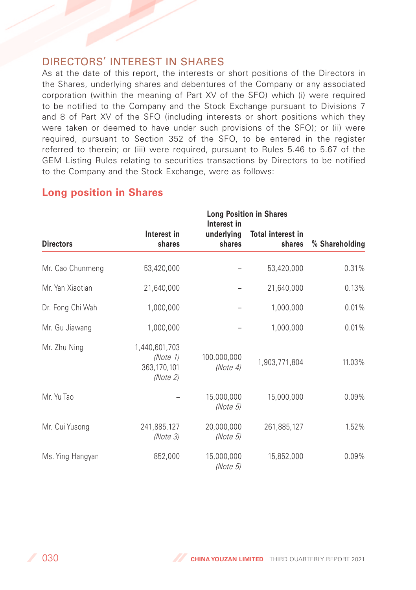## DIRECTORS' INTEREST IN SHARES

As at the date of this report, the interests or short positions of the Directors in the Shares, underlying shares and debentures of the Company or any associated corporation (within the meaning of Part XV of the SFO) which (i) were required to be notified to the Company and the Stock Exchange pursuant to Divisions 7 and 8 of Part XV of the SFO (including interests or short positions which they were taken or deemed to have under such provisions of the SFO); or (ii) were required, pursuant to Section 352 of the SFO, to be entered in the register referred to therein; or (iii) were required, pursuant to Rules 5.46 to 5.67 of the GEM Listing Rules relating to securities transactions by Directors to be notified to the Company and the Stock Exchange, were as follows:

|                  |                                                        | Interest in             | <b>Long Position in Shares</b> |                |
|------------------|--------------------------------------------------------|-------------------------|--------------------------------|----------------|
| <b>Directors</b> | Interest in<br>shares                                  | underlying<br>shares    | Total interest in<br>shares    | % Shareholding |
| Mr. Cao Chunmeng | 53,420,000                                             |                         | 53,420,000                     | 0.31%          |
| Mr. Yan Xiaotian | 21,640,000                                             |                         | 21,640,000                     | 0.13%          |
| Dr. Fong Chi Wah | 1,000,000                                              |                         | 1,000,000                      | 0.01%          |
| Mr. Gu Jiawang   | 1,000,000                                              |                         | 1,000,000                      | 0.01%          |
| Mr. Zhu Ning     | 1,440,601,703<br>(Note 1)<br>363, 170, 101<br>(Note 2) | 100,000,000<br>(Note 4) | 1,903,771,804                  | 11.03%         |
| Mr. Yu Tao       |                                                        | 15,000,000<br>(Note 5)  | 15,000,000                     | 0.09%          |
| Mr. Cui Yusong   | 241,885,127<br>(Note 3)                                | 20,000,000<br>(Note 5)  | 261,885,127                    | 1.52%          |
| Ms. Ying Hangyan | 852,000                                                | 15,000,000<br>(Note 5)  | 15,852,000                     | 0.09%          |

## **Long position in Shares**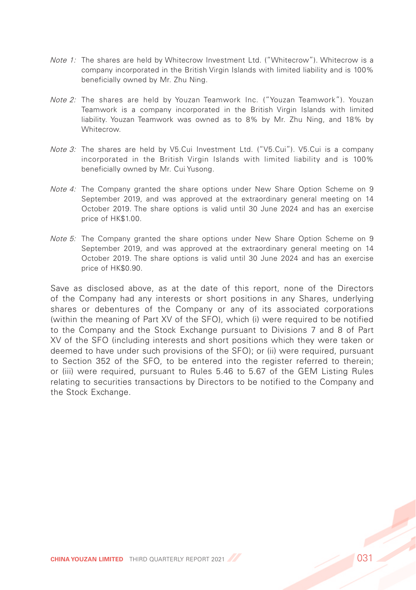- Note 1: The shares are held by Whitecrow Investment Ltd. ("Whitecrow"). Whitecrow is a company incorporated in the British Virgin Islands with limited liability and is 100% beneficially owned by Mr. Zhu Ning.
- Note 2: The shares are held by Youzan Teamwork Inc. ("Youzan Teamwork"). Youzan Teamwork is a company incorporated in the British Virgin Islands with limited liability. Youzan Teamwork was owned as to 8% by Mr. Zhu Ning, and 18% by **Whitecrow**
- Note 3: The shares are held by V5.Cui Investment Ltd. ("V5.Cui"). V5.Cui is a company incorporated in the British Virgin Islands with limited liability and is 100% beneficially owned by Mr. Cui Yusong.
- Note 4: The Company granted the share options under New Share Option Scheme on 9 September 2019, and was approved at the extraordinary general meeting on 14 October 2019. The share options is valid until 30 June 2024 and has an exercise price of HK\$1.00.
- Note 5: The Company granted the share options under New Share Option Scheme on 9 September 2019, and was approved at the extraordinary general meeting on 14 October 2019. The share options is valid until 30 June 2024 and has an exercise price of HK\$0.90.

Save as disclosed above, as at the date of this report, none of the Directors of the Company had any interests or short positions in any Shares, underlying shares or debentures of the Company or any of its associated corporations (within the meaning of Part XV of the SFO), which (i) were required to be notified to the Company and the Stock Exchange pursuant to Divisions 7 and 8 of Part XV of the SFO (including interests and short positions which they were taken or deemed to have under such provisions of the SFO); or (ii) were required, pursuant to Section 352 of the SFO, to be entered into the register referred to therein; or (iii) were required, pursuant to Rules 5.46 to 5.67 of the GEM Listing Rules relating to securities transactions by Directors to be notified to the Company and the Stock Exchange.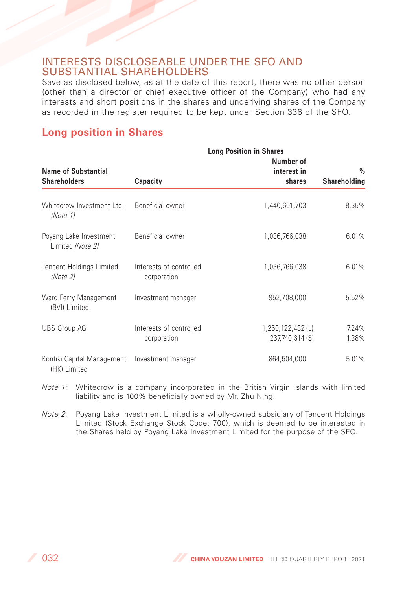## INTERESTS DISCLOSEABLE UNDER THE SFO AND SUBSTANTIAL SHAREHOLDERS

Save as disclosed below, as at the date of this report, there was no other person (other than a director or chief executive officer of the Company) who had any interests and short positions in the shares and underlying shares of the Company as recorded in the register required to be kept under Section 336 of the SFO.

## **Long position in Shares**

|                                             |                                        | <b>Long Position in Shares</b><br>Number of |                               |
|---------------------------------------------|----------------------------------------|---------------------------------------------|-------------------------------|
| Name of Substantial<br><b>Shareholders</b>  | Capacity                               | interest in<br>shares                       | $\frac{0}{0}$<br>Shareholding |
| Whitecrow Investment Ltd.<br>(Note 1)       | Beneficial owner                       | 1,440,601,703                               | 8.35%                         |
| Poyang Lake Investment<br>Limited (Note 2)  | Beneficial owner                       | 1,036,766,038                               | 6.01%                         |
| <b>Tencent Holdings Limited</b><br>(Note 2) | Interests of controlled<br>corporation | 1,036,766,038                               | 6.01%                         |
| Ward Ferry Management<br>(BVI) Limited      | Investment manager                     | 952,708,000                                 | 5.52%                         |
| <b>UBS Group AG</b>                         | Interests of controlled<br>corporation | 1,250,122,482(L)<br>237,740,314 (S)         | 7.24%<br>1.38%                |
| Kontiki Capital Management<br>(HK) Limited  | Investment manager                     | 864,504,000                                 | 5.01%                         |

- Note 1: Whitecrow is a company incorporated in the British Virgin Islands with limited liability and is 100% beneficially owned by Mr. Zhu Ning.
- Note 2: Poyang Lake Investment Limited is a wholly-owned subsidiary of Tencent Holdings Limited (Stock Exchange Stock Code: 700), which is deemed to be interested in the Shares held by Poyang Lake Investment Limited for the purpose of the SFO.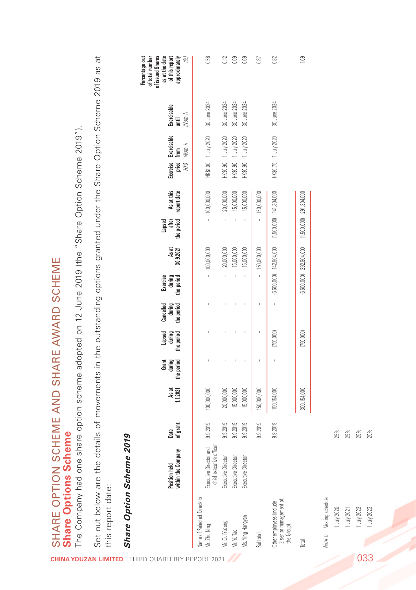|     | SHARE OPTION SCHEME AND SHARE AWARD SCHEME<br>Share Options Scheme                                                                          |                                                   |                  |                  |                               |                                |                                   |                                         |                         |                               |                           |                                       |                                |                                          |                                                         |
|-----|---------------------------------------------------------------------------------------------------------------------------------------------|---------------------------------------------------|------------------|------------------|-------------------------------|--------------------------------|-----------------------------------|-----------------------------------------|-------------------------|-------------------------------|---------------------------|---------------------------------------|--------------------------------|------------------------------------------|---------------------------------------------------------|
|     | The Company had one share option scheme adopted on 12 June 2019 (the "Share Option Scheme 2019").                                           |                                                   |                  |                  |                               |                                |                                   |                                         |                         |                               |                           |                                       |                                |                                          |                                                         |
|     | Set out below are the details of movements in the outstanding options granted under the Share Option Scheme 2019 as at<br>this report date: |                                                   |                  |                  |                               |                                |                                   |                                         |                         |                               |                           |                                       |                                |                                          |                                                         |
|     | <b>Share Option Scheme 2019</b>                                                                                                             |                                                   |                  |                  |                               |                                |                                   |                                         |                         |                               |                           |                                       |                                |                                          |                                                         |
|     |                                                                                                                                             |                                                   |                  |                  |                               |                                |                                   |                                         |                         |                               |                           |                                       |                                |                                          | of issued Shares<br>of total number<br>Percentage out   |
|     |                                                                                                                                             | Position held<br>within the Company               | Date<br>of grant | As at<br>1.12021 | Grant<br>during<br>the period | the period<br>Lapsed<br>during | the period<br>Cancelled<br>during | during<br>the period<br><b>Exercise</b> | As at<br>30.9.2021      | the period<br>Lapsed<br>after | As at this<br>report date | Exercise<br>price<br><i>\</i><br>\\\S | Exercisable<br>Note 1)<br>from | Exercisable<br>Note 1)<br>$\overline{m}$ | as at the date<br>of this report<br>approximately<br>L, |
|     | Name of Selected Directors<br>Mr. Zhu Ning                                                                                                  | chief executive officer<br>Executive Director and | 9.9.2019         | 100,000,000      |                               |                                |                                   |                                         | 100,000,000             |                               | 100,000,000               |                                       | HK\$1.00 1 July 2020           | 30 June 2024                             | 0.58                                                    |
|     | Mr. Cui Yusong                                                                                                                              | Executive Director                                | 9.9.2019         | 20,000,000       |                               |                                |                                   |                                         | 20,000,000              |                               | 20,000,000                | HK\$0.90                              | 1 July 2020                    | 30 June 2024                             | 0.12                                                    |
|     | Mr. Yu Tao                                                                                                                                  | Executive Director                                | 9.9.2019         | 5,000,000        |                               |                                |                                   |                                         | 15,000,000              |                               | 15,000,000                | HK\$0.90                              | I July 2020                    | 30 June 2024                             | 0.09                                                    |
|     | Ms. Ying Hangyan                                                                                                                            | Executive Director                                | 9.9.2019         | 15,000,000       |                               |                                |                                   |                                         | 15,000,000              |                               | 15,000,000                | HK\$0.90                              | I July 2020                    | 30 June 2024                             | g                                                       |
|     | Subtotal                                                                                                                                    |                                                   | 9.9.2019         | 150,000,000      | $\overline{1}$                | $\overline{1}$                 | $\overline{1}$                    |                                         | 150,000,000             | $\overline{1}$                | 150,000,000               |                                       |                                |                                          | 0.87                                                    |
|     | 2 senior management of<br>Other employees (include<br>the Group)                                                                            |                                                   | 9.9.2019         | 150,154,000      |                               | (750,000)                      |                                   |                                         | (6,600,000) 142,804,000 | $(1,500,0000)$ $141,304,000$  |                           |                                       | HK\$0.75 1 July 2020           | 30 June 2024                             | 0.82                                                    |
|     | Total                                                                                                                                       |                                                   |                  | 300,154,000      | $\mathbf{I}$                  | (750,000)                      |                                   |                                         | (6,600,000) 292,804,000 | (1,500,000)                   | 291,304,000               |                                       |                                |                                          | 1.69                                                    |
|     | Vesting schedule<br>Note 1:                                                                                                                 |                                                   |                  |                  |                               |                                |                                   |                                         |                         |                               |                           |                                       |                                |                                          |                                                         |
|     | 1 July 2020                                                                                                                                 |                                                   | 25%              |                  |                               |                                |                                   |                                         |                         |                               |                           |                                       |                                |                                          |                                                         |
|     | July 2021                                                                                                                                   |                                                   | 25%              |                  |                               |                                |                                   |                                         |                         |                               |                           |                                       |                                |                                          |                                                         |
|     | July 2022                                                                                                                                   |                                                   | 25%              |                  |                               |                                |                                   |                                         |                         |                               |                           |                                       |                                |                                          |                                                         |
| 033 | <b>July 2023</b>                                                                                                                            |                                                   | 25%              |                  |                               |                                |                                   |                                         |                         |                               |                           |                                       |                                |                                          |                                                         |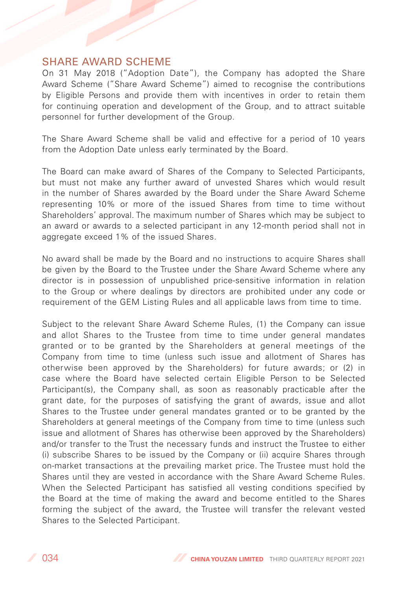## SHARE AWARD SCHEME

On 31 May 2018 ("Adoption Date"), the Company has adopted the Share Award Scheme ("Share Award Scheme") aimed to recognise the contributions by Eligible Persons and provide them with incentives in order to retain them for continuing operation and development of the Group, and to attract suitable personnel for further development of the Group.

The Share Award Scheme shall be valid and effective for a period of 10 years from the Adoption Date unless early terminated by the Board.

The Board can make award of Shares of the Company to Selected Participants, but must not make any further award of unvested Shares which would result in the number of Shares awarded by the Board under the Share Award Scheme representing 10% or more of the issued Shares from time to time without Shareholders' approval. The maximum number of Shares which may be subject to an award or awards to a selected participant in any 12-month period shall not in aggregate exceed 1% of the issued Shares.

No award shall be made by the Board and no instructions to acquire Shares shall be given by the Board to the Trustee under the Share Award Scheme where any director is in possession of unpublished price-sensitive information in relation to the Group or where dealings by directors are prohibited under any code or requirement of the GEM Listing Rules and all applicable laws from time to time.

Subject to the relevant Share Award Scheme Rules, (1) the Company can issue and allot Shares to the Trustee from time to time under general mandates granted or to be granted by the Shareholders at general meetings of the Company from time to time (unless such issue and allotment of Shares has otherwise been approved by the Shareholders) for future awards; or (2) in case where the Board have selected certain Eligible Person to be Selected Participant(s), the Company shall, as soon as reasonably practicable after the grant date, for the purposes of satisfying the grant of awards, issue and allot Shares to the Trustee under general mandates granted or to be granted by the Shareholders at general meetings of the Company from time to time (unless such issue and allotment of Shares has otherwise been approved by the Shareholders) and/or transfer to the Trust the necessary funds and instruct the Trustee to either (i) subscribe Shares to be issued by the Company or (ii) acquire Shares through on-market transactions at the prevailing market price. The Trustee must hold the Shares until they are vested in accordance with the Share Award Scheme Rules. When the Selected Participant has satisfied all vesting conditions specified by the Board at the time of making the award and become entitled to the Shares forming the subject of the award, the Trustee will transfer the relevant vested Shares to the Selected Participant.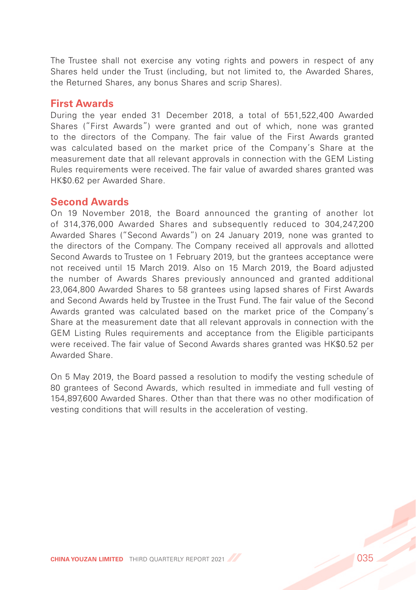The Trustee shall not exercise any voting rights and powers in respect of any Shares held under the Trust (including, but not limited to, the Awarded Shares, the Returned Shares, any bonus Shares and scrip Shares).

### **First Awards**

During the year ended 31 December 2018, a total of 551,522,400 Awarded Shares ("First Awards") were granted and out of which, none was granted to the directors of the Company. The fair value of the First Awards granted was calculated based on the market price of the Company's Share at the measurement date that all relevant approvals in connection with the GEM Listing Rules requirements were received. The fair value of awarded shares granted was HK\$0.62 per Awarded Share.

## **Second Awards**

On 19 November 2018, the Board announced the granting of another lot of 314,376,000 Awarded Shares and subsequently reduced to 304,247,200 Awarded Shares ("Second Awards") on 24 January 2019, none was granted to the directors of the Company. The Company received all approvals and allotted Second Awards to Trustee on 1 February 2019, but the grantees acceptance were not received until 15 March 2019. Also on 15 March 2019, the Board adjusted the number of Awards Shares previously announced and granted additional 23,064,800 Awarded Shares to 58 grantees using lapsed shares of First Awards and Second Awards held by Trustee in the Trust Fund. The fair value of the Second Awards granted was calculated based on the market price of the Company's Share at the measurement date that all relevant approvals in connection with the GEM Listing Rules requirements and acceptance from the Eligible participants were received. The fair value of Second Awards shares granted was HK\$0.52 per Awarded Share.

On 5 May 2019, the Board passed a resolution to modify the vesting schedule of 80 grantees of Second Awards, which resulted in immediate and full vesting of 154,897,600 Awarded Shares. Other than that there was no other modification of vesting conditions that will results in the acceleration of vesting.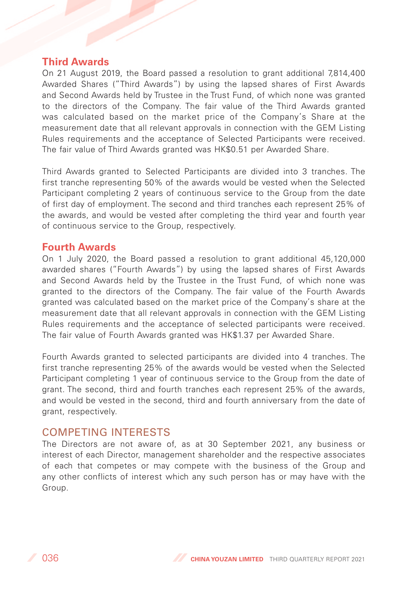## **Third Awards**

On 21 August 2019, the Board passed a resolution to grant additional 7,814,400 Awarded Shares ("Third Awards") by using the lapsed shares of First Awards and Second Awards held by Trustee in the Trust Fund, of which none was granted to the directors of the Company. The fair value of the Third Awards granted was calculated based on the market price of the Company's Share at the measurement date that all relevant approvals in connection with the GEM Listing Rules requirements and the acceptance of Selected Participants were received. The fair value of Third Awards granted was HK\$0.51 per Awarded Share.

Third Awards granted to Selected Participants are divided into 3 tranches. The first tranche representing 50% of the awards would be vested when the Selected Participant completing 2 years of continuous service to the Group from the date of first day of employment. The second and third tranches each represent 25% of the awards, and would be vested after completing the third year and fourth year of continuous service to the Group, respectively.

## **Fourth Awards**

On 1 July 2020, the Board passed a resolution to grant additional 45,120,000 awarded shares ("Fourth Awards") by using the lapsed shares of First Awards and Second Awards held by the Trustee in the Trust Fund, of which none was granted to the directors of the Company. The fair value of the Fourth Awards granted was calculated based on the market price of the Company's share at the measurement date that all relevant approvals in connection with the GEM Listing Rules requirements and the acceptance of selected participants were received. The fair value of Fourth Awards granted was HK\$1.37 per Awarded Share.

Fourth Awards granted to selected participants are divided into 4 tranches. The first tranche representing 25% of the awards would be vested when the Selected Participant completing 1 year of continuous service to the Group from the date of grant. The second, third and fourth tranches each represent 25% of the awards, and would be vested in the second, third and fourth anniversary from the date of grant, respectively.

## COMPETING INTERESTS

The Directors are not aware of, as at 30 September 2021, any business or interest of each Director, management shareholder and the respective associates of each that competes or may compete with the business of the Group and any other conflicts of interest which any such person has or may have with the Group.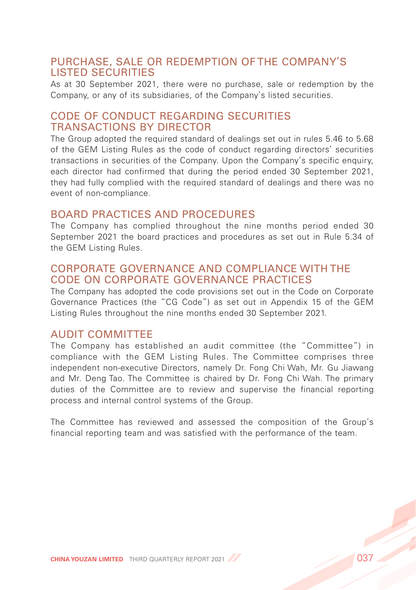## PURCHASE, SALE OR REDEMPTION OF THE COMPANY'S LISTED SECURITIES

As at 30 September 2021, there were no purchase, sale or redemption by the Company, or any of its subsidiaries, of the Company's listed securities.

## CODE OF CONDUCT REGARDING SECURITIES TRANSACTIONS BY DIRECTOR

The Group adopted the required standard of dealings set out in rules 5.46 to 5.68 of the GEM Listing Rules as the code of conduct regarding directors' securities transactions in securities of the Company. Upon the Company's specific enquiry, each director had confirmed that during the period ended 30 September 2021, they had fully complied with the required standard of dealings and there was no event of non-compliance.

## BOARD PRACTICES AND PROCEDURES

The Company has complied throughout the nine months period ended 30 September 2021 the board practices and procedures as set out in Rule 5.34 of the GEM Listing Rules.

## CORPORATE GOVERNANCE AND COMPLIANCE WITH THE CODE ON CORPORATE GOVERNANCE PRACTICES

The Company has adopted the code provisions set out in the Code on Corporate Governance Practices (the "CG Code") as set out in Appendix 15 of the GEM Listing Rules throughout the nine months ended 30 September 2021.

## AUDIT COMMITTEE

The Company has established an audit committee (the "Committee") in compliance with the GEM Listing Rules. The Committee comprises three independent non-executive Directors, namely Dr. Fong Chi Wah, Mr. Gu Jiawang and Mr. Deng Tao. The Committee is chaired by Dr. Fong Chi Wah. The primary duties of the Committee are to review and supervise the financial reporting process and internal control systems of the Group.

The Committee has reviewed and assessed the composition of the Group's financial reporting team and was satisfied with the performance of the team.